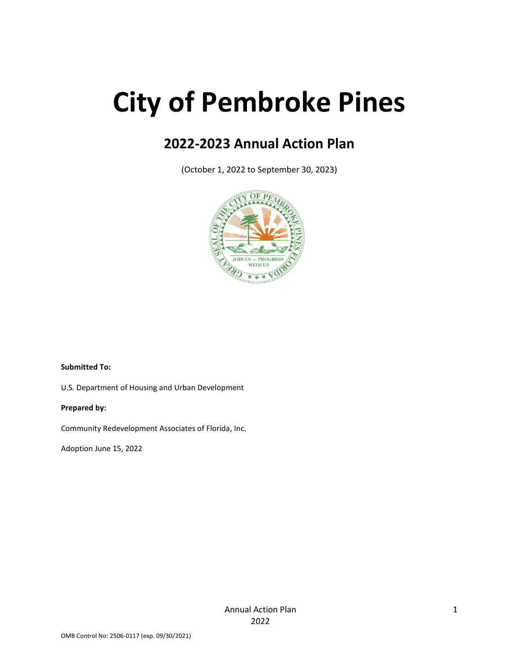# **City of Pembroke Pines**

# **2022-2023 Annual Action Plan**

(October 1, 2022 to September 30, 2023)



#### **Submitted To:**

U.S. Department of Housing and Urban Development

#### **Prepared by:**

Community Redevelopment Associates of Florida, Inc.

Adoption June 15, 2022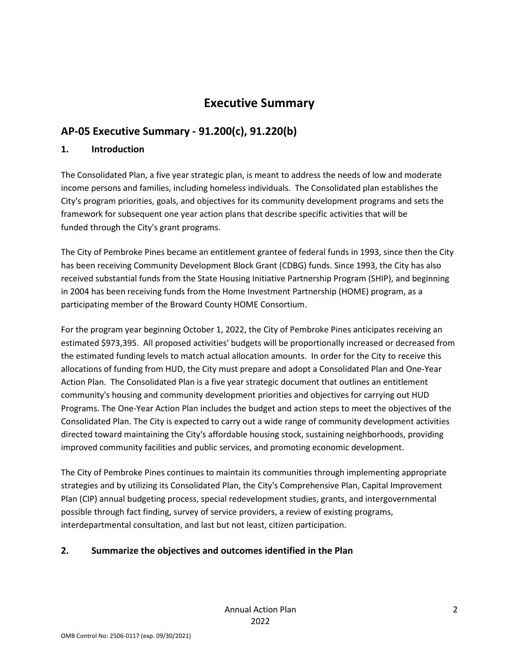# **Executive Summary**

# **AP-05 Executive Summary - 91.200(c), 91.220(b)**

### **1. Introduction**

The Consolidated Plan, a five year strategic plan, is meant to address the needs of low and moderate income persons and families, including homeless individuals. The Consolidated plan establishes the City's program priorities, goals, and objectives for its community development programs and sets the framework for subsequent one year action plans that describe specific activities that will be funded through the City's grant programs.

The City of Pembroke Pines became an entitlement grantee of federal funds in 1993, since then the City has been receiving Community Development Block Grant (CDBG) funds. Since 1993, the City has also received substantial funds from the State Housing Initiative Partnership Program (SHIP), and beginning in 2004 has been receiving funds from the Home Investment Partnership (HOME) program, as a participating member of the Broward County HOME Consortium.

For the program year beginning October 1, 2022, the City of Pembroke Pines anticipates receiving an estimated \$973,395. All proposed activities' budgets will be proportionally increased or decreased from the estimated funding levels to match actual allocation amounts. In order for the City to receive this allocations of funding from HUD, the City must prepare and adopt a Consolidated Plan and One-Year Action Plan. The Consolidated Plan is a five year strategic document that outlines an entitlement community's housing and community development priorities and objectives for carrying out HUD Programs. The One-Year Action Plan includes the budget and action steps to meet the objectives of the Consolidated Plan. The City is expected to carry out a wide range of community development activities directed toward maintaining the City's affordable housing stock, sustaining neighborhoods, providing improved community facilities and public services, and promoting economic development.

The City of Pembroke Pines continues to maintain its communities through implementing appropriate strategies and by utilizing its Consolidated Plan, the City's Comprehensive Plan, Capital Improvement Plan (CIP) annual budgeting process, special redevelopment studies, grants, and intergovernmental possible through fact finding, survey of service providers, a review of existing programs, interdepartmental consultation, and last but not least, citizen participation.

### **2. Summarize the objectives and outcomes identified in the Plan**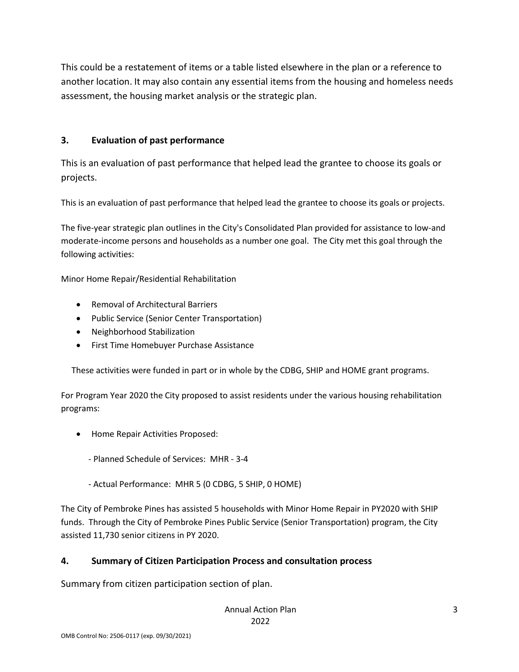This could be a restatement of items or a table listed elsewhere in the plan or a reference to another location. It may also contain any essential items from the housing and homeless needs assessment, the housing market analysis or the strategic plan.

### **3. Evaluation of past performance**

This is an evaluation of past performance that helped lead the grantee to choose its goals or projects.

This is an evaluation of past performance that helped lead the grantee to choose its goals or projects.

The five-year strategic plan outlines in the City's Consolidated Plan provided for assistance to low-and moderate-income persons and households as a number one goal. The City met this goal through the following activities:

Minor Home Repair/Residential Rehabilitation

- Removal of Architectural Barriers
- Public Service (Senior Center Transportation)
- Neighborhood Stabilization
- First Time Homebuyer Purchase Assistance

These activities were funded in part or in whole by the CDBG, SHIP and HOME grant programs.

For Program Year 2020 the City proposed to assist residents under the various housing rehabilitation programs:

- Home Repair Activities Proposed:
	- Planned Schedule of Services: MHR 3-4
	- Actual Performance: MHR 5 (0 CDBG, 5 SHIP, 0 HOME)

The City of Pembroke Pines has assisted 5 households with Minor Home Repair in PY2020 with SHIP funds. Through the City of Pembroke Pines Public Service (Senior Transportation) program, the City assisted 11,730 senior citizens in PY 2020.

## **4. Summary of Citizen Participation Process and consultation process**

Summary from citizen participation section of plan.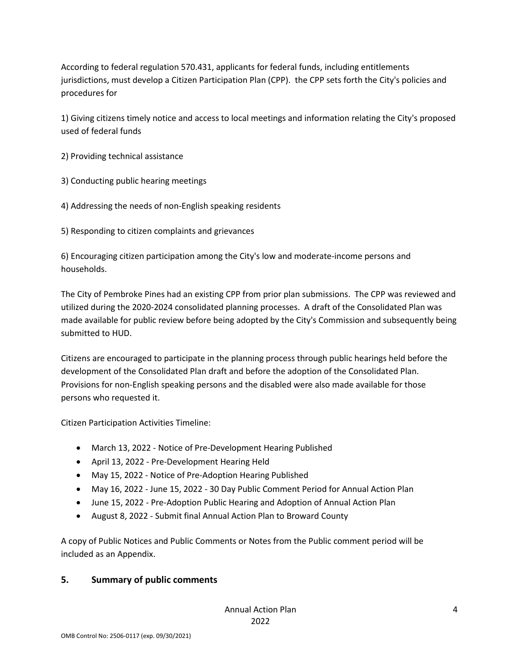According to federal regulation 570.431, applicants for federal funds, including entitlements jurisdictions, must develop a Citizen Participation Plan (CPP). the CPP sets forth the City's policies and procedures for

1) Giving citizens timely notice and access to local meetings and information relating the City's proposed used of federal funds

2) Providing technical assistance

- 3) Conducting public hearing meetings
- 4) Addressing the needs of non-English speaking residents

5) Responding to citizen complaints and grievances

6) Encouraging citizen participation among the City's low and moderate-income persons and households.

The City of Pembroke Pines had an existing CPP from prior plan submissions. The CPP was reviewed and utilized during the 2020-2024 consolidated planning processes. A draft of the Consolidated Plan was made available for public review before being adopted by the City's Commission and subsequently being submitted to HUD.

Citizens are encouraged to participate in the planning process through public hearings held before the development of the Consolidated Plan draft and before the adoption of the Consolidated Plan. Provisions for non-English speaking persons and the disabled were also made available for those persons who requested it.

Citizen Participation Activities Timeline:

- March 13, 2022 Notice of Pre-Development Hearing Published
- April 13, 2022 Pre-Development Hearing Held
- May 15, 2022 Notice of Pre-Adoption Hearing Published
- May 16, 2022 June 15, 2022 30 Day Public Comment Period for Annual Action Plan
- June 15, 2022 Pre-Adoption Public Hearing and Adoption of Annual Action Plan
- August 8, 2022 Submit final Annual Action Plan to Broward County

A copy of Public Notices and Public Comments or Notes from the Public comment period will be included as an Appendix.

### **5. Summary of public comments**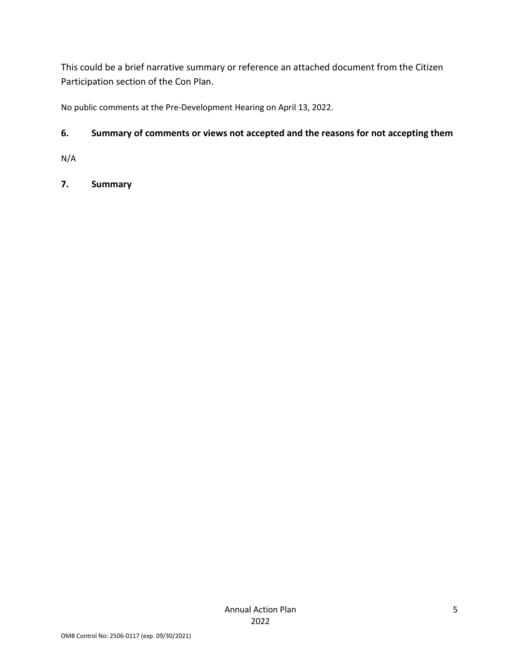This could be a brief narrative summary or reference an attached document from the Citizen Participation section of the Con Plan.

No public comments at the Pre-Development Hearing on April 13, 2022.

## **6. Summary of comments or views not accepted and the reasons for not accepting them**

N/A

# **7. Summary**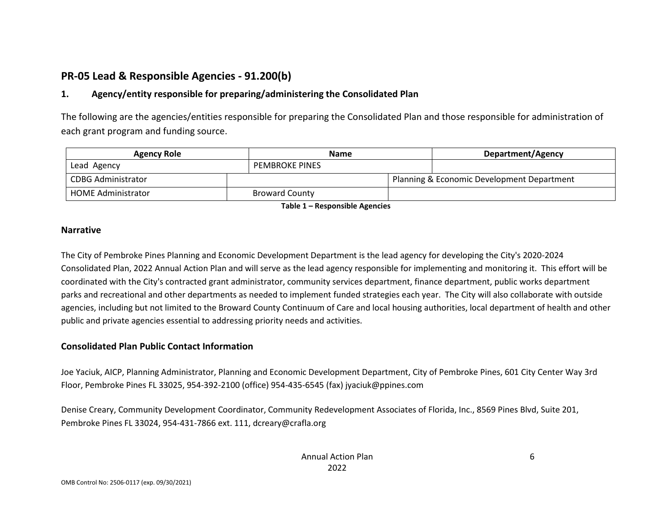# **PR-05 Lead & Responsible Agencies - 91.200(b)**

### **1. Agency/entity responsible for preparing/administering the Consolidated Plan**

The following are the agencies/entities responsible for preparing the Consolidated Plan and those responsible for administration of each grant program and funding source.

| <b>Agency Role</b>        | <b>Name</b> |                       |  | Department/Agency |                                            |  |
|---------------------------|-------------|-----------------------|--|-------------------|--------------------------------------------|--|
| Lead Agency               |             | <b>PEMBROKE PINES</b> |  |                   |                                            |  |
| CDBG Administrator        |             |                       |  |                   | Planning & Economic Development Department |  |
| <b>HOME Administrator</b> |             | <b>Broward County</b> |  |                   |                                            |  |

**Table 1 – Responsible Agencies**

#### **Narrative**

The City of Pembroke Pines Planning and Economic Development Department is the lead agency for developing the City's 2020-2024 Consolidated Plan, 2022 Annual Action Plan and will serve as the lead agency responsible for implementing and monitoring it. This effort will be coordinated with the City's contracted grant administrator, community services department, finance department, public works department parks and recreational and other departments as needed to implement funded strategies each year. The City will also collaborate with outside agencies, including but not limited to the Broward County Continuum of Care and local housing authorities, local department of health and other public and private agencies essential to addressing priority needs and activities.

### **Consolidated Plan Public Contact Information**

Joe Yaciuk, AICP, Planning Administrator, Planning and Economic Development Department, City of Pembroke Pines, 601 City Center Way 3rd Floor, Pembroke Pines FL 33025, 954-392-2100 (office) 954-435-6545 (fax) jyaciuk@ppines.com

Denise Creary, Community Development Coordinator, Community Redevelopment Associates of Florida, Inc., 8569 Pines Blvd, Suite 201, Pembroke Pines FL 33024, 954-431-7866 ext. 111, dcreary@crafla.org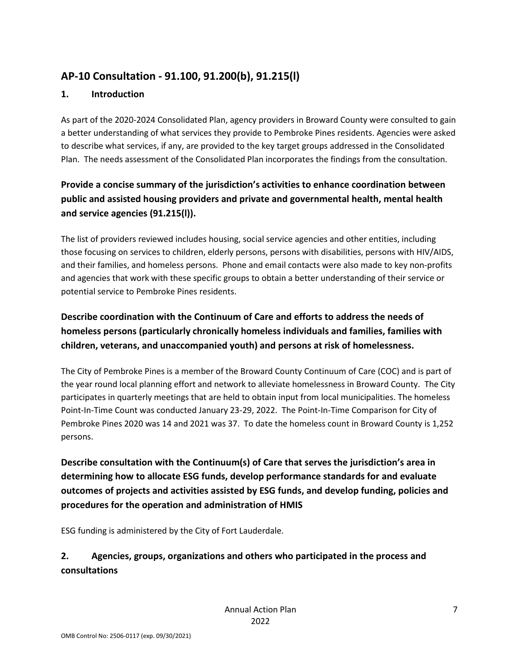# **AP-10 Consultation - 91.100, 91.200(b), 91.215(l)**

### **1. Introduction**

As part of the 2020-2024 Consolidated Plan, agency providers in Broward County were consulted to gain a better understanding of what services they provide to Pembroke Pines residents. Agencies were asked to describe what services, if any, are provided to the key target groups addressed in the Consolidated Plan. The needs assessment of the Consolidated Plan incorporates the findings from the consultation.

# **Provide a concise summary of the jurisdiction's activities to enhance coordination between public and assisted housing providers and private and governmental health, mental health and service agencies (91.215(l)).**

The list of providers reviewed includes housing, social service agencies and other entities, including those focusing on services to children, elderly persons, persons with disabilities, persons with HIV/AIDS, and their families, and homeless persons. Phone and email contacts were also made to key non-profits and agencies that work with these specific groups to obtain a better understanding of their service or potential service to Pembroke Pines residents.

# **Describe coordination with the Continuum of Care and efforts to address the needs of homeless persons (particularly chronically homeless individuals and families, families with children, veterans, and unaccompanied youth) and persons at risk of homelessness.**

The City of Pembroke Pines is a member of the Broward County Continuum of Care (COC) and is part of the year round local planning effort and network to alleviate homelessness in Broward County. The City participates in quarterly meetings that are held to obtain input from local municipalities. The homeless Point-In-Time Count was conducted January 23-29, 2022. The Point-In-Time Comparison for City of Pembroke Pines 2020 was 14 and 2021 was 37. To date the homeless count in Broward County is 1,252 persons.

**Describe consultation with the Continuum(s) of Care that serves the jurisdiction's area in determining how to allocate ESG funds, develop performance standards for and evaluate outcomes of projects and activities assisted by ESG funds, and develop funding, policies and procedures for the operation and administration of HMIS**

ESG funding is administered by the City of Fort Lauderdale.

# **2. Agencies, groups, organizations and others who participated in the process and consultations**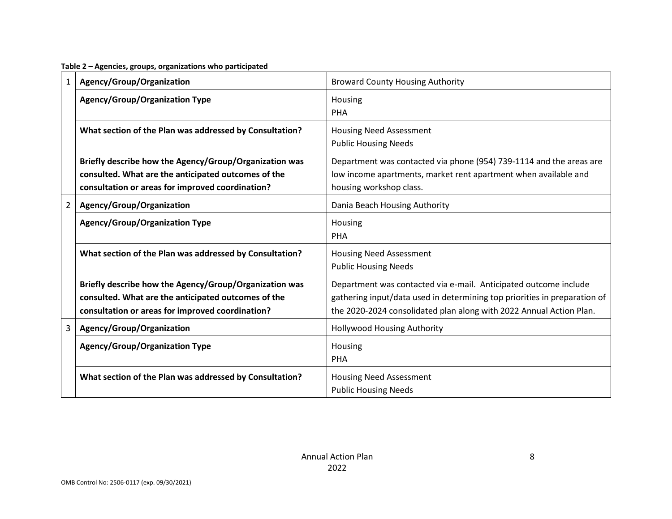**Table 2 – Agencies, groups, organizations who participated**

| 1              | Agency/Group/Organization                                                                                                                                         | <b>Broward County Housing Authority</b>                                                                                                                                                                              |
|----------------|-------------------------------------------------------------------------------------------------------------------------------------------------------------------|----------------------------------------------------------------------------------------------------------------------------------------------------------------------------------------------------------------------|
|                | <b>Agency/Group/Organization Type</b>                                                                                                                             | Housing<br>PHA                                                                                                                                                                                                       |
|                | What section of the Plan was addressed by Consultation?                                                                                                           | <b>Housing Need Assessment</b><br><b>Public Housing Needs</b>                                                                                                                                                        |
|                | Briefly describe how the Agency/Group/Organization was<br>consulted. What are the anticipated outcomes of the<br>consultation or areas for improved coordination? | Department was contacted via phone (954) 739-1114 and the areas are<br>low income apartments, market rent apartment when available and<br>housing workshop class.                                                    |
| $\overline{2}$ | Agency/Group/Organization                                                                                                                                         | Dania Beach Housing Authority                                                                                                                                                                                        |
|                | <b>Agency/Group/Organization Type</b>                                                                                                                             | Housing<br>PHA                                                                                                                                                                                                       |
|                | What section of the Plan was addressed by Consultation?                                                                                                           | <b>Housing Need Assessment</b><br><b>Public Housing Needs</b>                                                                                                                                                        |
|                | Briefly describe how the Agency/Group/Organization was<br>consulted. What are the anticipated outcomes of the<br>consultation or areas for improved coordination? | Department was contacted via e-mail. Anticipated outcome include<br>gathering input/data used in determining top priorities in preparation of<br>the 2020-2024 consolidated plan along with 2022 Annual Action Plan. |
| 3              | Agency/Group/Organization                                                                                                                                         | <b>Hollywood Housing Authority</b>                                                                                                                                                                                   |
|                | <b>Agency/Group/Organization Type</b>                                                                                                                             | Housing<br>PHA                                                                                                                                                                                                       |
|                | What section of the Plan was addressed by Consultation?                                                                                                           | <b>Housing Need Assessment</b><br><b>Public Housing Needs</b>                                                                                                                                                        |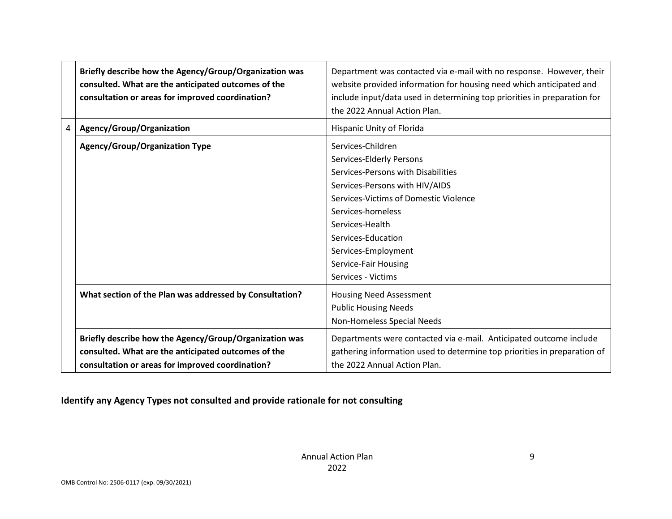|   | Briefly describe how the Agency/Group/Organization was<br>consulted. What are the anticipated outcomes of the<br>consultation or areas for improved coordination? | Department was contacted via e-mail with no response. However, their<br>website provided information for housing need which anticipated and<br>include input/data used in determining top priorities in preparation for<br>the 2022 Annual Action Plan.                                           |
|---|-------------------------------------------------------------------------------------------------------------------------------------------------------------------|---------------------------------------------------------------------------------------------------------------------------------------------------------------------------------------------------------------------------------------------------------------------------------------------------|
| 4 | Agency/Group/Organization                                                                                                                                         | Hispanic Unity of Florida                                                                                                                                                                                                                                                                         |
|   | <b>Agency/Group/Organization Type</b>                                                                                                                             | Services-Children<br>Services-Elderly Persons<br>Services-Persons with Disabilities<br>Services-Persons with HIV/AIDS<br>Services-Victims of Domestic Violence<br>Services-homeless<br>Services-Health<br>Services-Education<br>Services-Employment<br>Service-Fair Housing<br>Services - Victims |
|   | What section of the Plan was addressed by Consultation?                                                                                                           | <b>Housing Need Assessment</b><br><b>Public Housing Needs</b><br>Non-Homeless Special Needs                                                                                                                                                                                                       |
|   | Briefly describe how the Agency/Group/Organization was<br>consulted. What are the anticipated outcomes of the<br>consultation or areas for improved coordination? | Departments were contacted via e-mail. Anticipated outcome include<br>gathering information used to determine top priorities in preparation of<br>the 2022 Annual Action Plan.                                                                                                                    |

# **Identify any Agency Types not consulted and provide rationale for not consulting**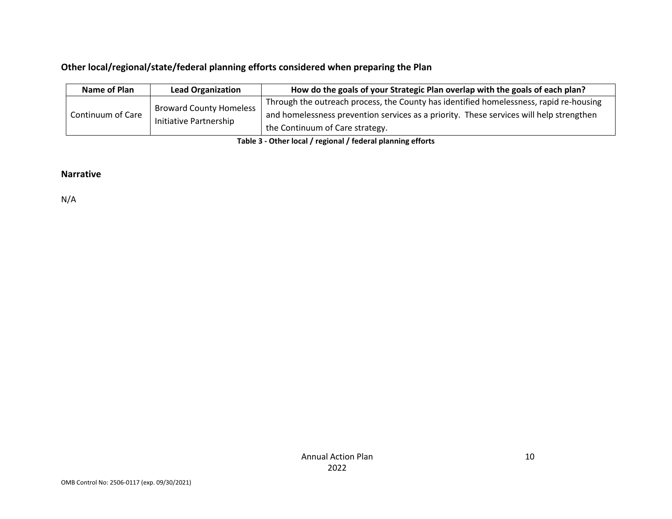## **Other local/regional/state/federal planning efforts considered when preparing the Plan**

| Name of Plan      | <b>Lead Organization</b> | How do the goals of your Strategic Plan overlap with the goals of each plan?            |  |  |  |
|-------------------|--------------------------|-----------------------------------------------------------------------------------------|--|--|--|
| Continuum of Care | Broward County Homeless  | Through the outreach process, the County has identified homelessness, rapid re-housing  |  |  |  |
|                   |                          | and homelessness prevention services as a priority. These services will help strengthen |  |  |  |
|                   | Initiative Partnership   | the Continuum of Care strategy.                                                         |  |  |  |

**Table 3 - Other local / regional / federal planning efforts**

### **Narrative**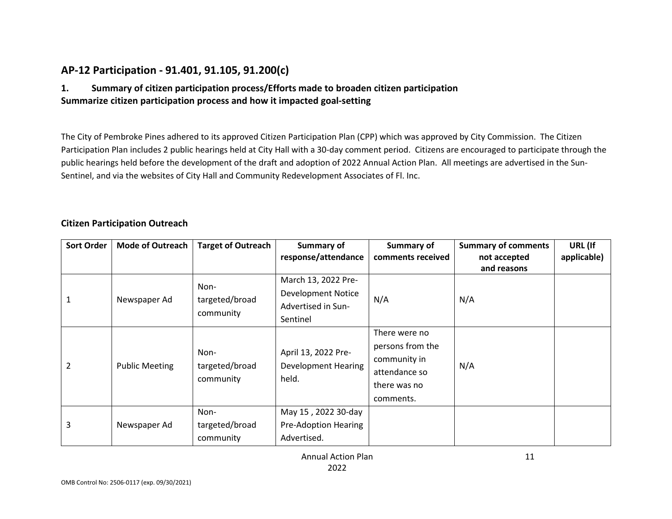# **AP-12 Participation - 91.401, 91.105, 91.200(c)**

### **1. Summary of citizen participation process/Efforts made to broaden citizen participation Summarize citizen participation process and how it impacted goal-setting**

The City of Pembroke Pines adhered to its approved Citizen Participation Plan (CPP) which was approved by City Commission. The Citizen Participation Plan includes 2 public hearings held at City Hall with a 30-day comment period. Citizens are encouraged to participate through the public hearings held before the development of the draft and adoption of 2022 Annual Action Plan. All meetings are advertised in the Sun-Sentinel, and via the websites of City Hall and Community Redevelopment Associates of Fl. Inc.

#### **Citizen Participation Outreach**

| <b>Sort Order</b> | <b>Mode of Outreach</b> | <b>Target of Outreach</b> | Summary of                 | Summary of        | <b>Summary of comments</b> | URL (If     |
|-------------------|-------------------------|---------------------------|----------------------------|-------------------|----------------------------|-------------|
|                   |                         |                           | response/attendance        | comments received | not accepted               | applicable) |
|                   |                         |                           |                            |                   | and reasons                |             |
|                   |                         | Non-                      | March 13, 2022 Pre-        |                   |                            |             |
|                   |                         | targeted/broad            | <b>Development Notice</b>  |                   | N/A                        |             |
| 1                 | Newspaper Ad            |                           | Advertised in Sun-         | N/A               |                            |             |
|                   |                         | community                 | Sentinel                   |                   |                            |             |
|                   |                         |                           |                            | There were no     |                            |             |
|                   |                         | Non-                      | April 13, 2022 Pre-        | persons from the  |                            |             |
| 2                 | <b>Public Meeting</b>   |                           | <b>Development Hearing</b> | community in      | N/A                        |             |
|                   |                         | targeted/broad            | held.                      | attendance so     |                            |             |
|                   |                         | community                 |                            | there was no      |                            |             |
|                   |                         |                           |                            | comments.         |                            |             |
|                   |                         | Non-                      | May 15, 2022 30-day        |                   |                            |             |
| 3                 | Newspaper Ad            | targeted/broad            | Pre-Adoption Hearing       |                   |                            |             |
|                   |                         | community                 | Advertised.                |                   |                            |             |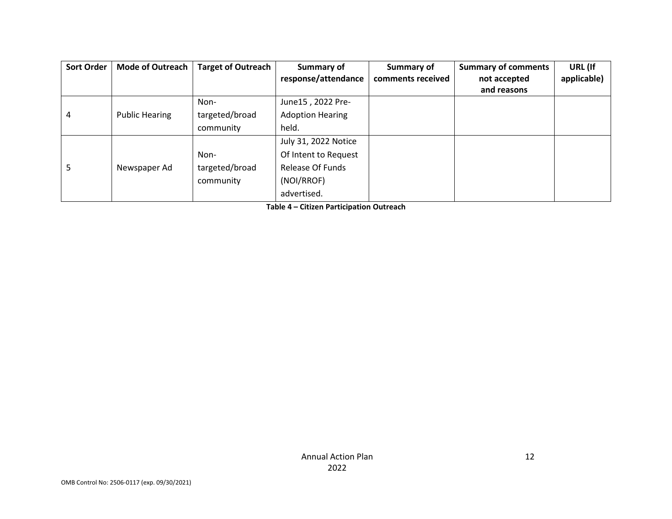| <b>Sort Order</b> | <b>Mode of Outreach</b> | <b>Target of Outreach</b> | Summary of              | Summary of        | <b>Summary of comments</b> | URL (If     |
|-------------------|-------------------------|---------------------------|-------------------------|-------------------|----------------------------|-------------|
|                   |                         |                           | response/attendance     | comments received | not accepted               | applicable) |
|                   |                         |                           |                         |                   | and reasons                |             |
|                   |                         | Non-                      | June15, 2022 Pre-       |                   |                            |             |
| 4                 | <b>Public Hearing</b>   | targeted/broad            | <b>Adoption Hearing</b> |                   |                            |             |
|                   |                         | community                 | held.                   |                   |                            |             |
|                   |                         |                           | July 31, 2022 Notice    |                   |                            |             |
|                   |                         | Non-                      | Of Intent to Request    |                   |                            |             |
| 5                 | Newspaper Ad            | targeted/broad            | <b>Release Of Funds</b> |                   |                            |             |
|                   |                         | community                 | (NOI/RROF)              |                   |                            |             |
|                   |                         |                           | advertised.             |                   |                            |             |

**Table 4 – Citizen Participation Outreach**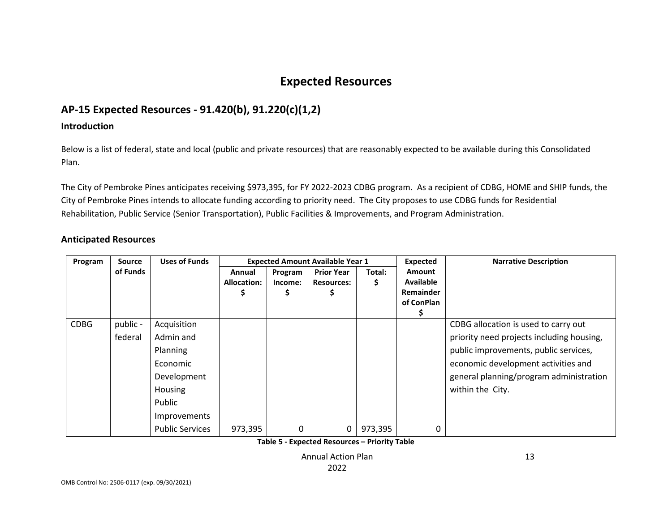# **Expected Resources**

# **AP-15 Expected Resources - 91.420(b), 91.220(c)(1,2)**

### **Introduction**

Below is a list of federal, state and local (public and private resources) that are reasonably expected to be available during this Consolidated Plan.

The City of Pembroke Pines anticipates receiving \$973,395, for FY 2022-2023 CDBG program. As a recipient of CDBG, HOME and SHIP funds, the City of Pembroke Pines intends to allocate funding according to priority need. The City proposes to use CDBG funds for Residential Rehabilitation, Public Service (Senior Transportation), Public Facilities & Improvements, and Program Administration.

### **Anticipated Resources**

| Program     | <b>Source</b> | <b>Uses of Funds</b>   | <b>Expected Amount Available Year 1</b> |         |                   | <b>Expected</b> | <b>Narrative Description</b> |                                           |
|-------------|---------------|------------------------|-----------------------------------------|---------|-------------------|-----------------|------------------------------|-------------------------------------------|
|             | of Funds      |                        | Annual                                  | Program | <b>Prior Year</b> | Total:          | Amount                       |                                           |
|             |               |                        | <b>Allocation:</b>                      | Income: | <b>Resources:</b> | \$              | <b>Available</b>             |                                           |
|             |               |                        |                                         | Ş       | Ş.                |                 | Remainder                    |                                           |
|             |               |                        |                                         |         |                   |                 | of ConPlan                   |                                           |
|             |               |                        |                                         |         |                   |                 |                              |                                           |
| <b>CDBG</b> | public -      | Acquisition            |                                         |         |                   |                 |                              | CDBG allocation is used to carry out      |
|             | federal       | Admin and              |                                         |         |                   |                 |                              | priority need projects including housing, |
|             |               | Planning               |                                         |         |                   |                 |                              | public improvements, public services,     |
|             |               | Economic               |                                         |         |                   |                 |                              | economic development activities and       |
|             |               | Development            |                                         |         |                   |                 |                              | general planning/program administration   |
|             |               | Housing                |                                         |         |                   |                 |                              | within the City.                          |
|             |               | Public                 |                                         |         |                   |                 |                              |                                           |
|             |               | Improvements           |                                         |         |                   |                 |                              |                                           |
|             |               | <b>Public Services</b> | 973,395                                 | 0       | $\Omega$          | 973,395         |                              |                                           |

**Table 5 - Expected Resources – Priority Table**

Annual Action Plan 2022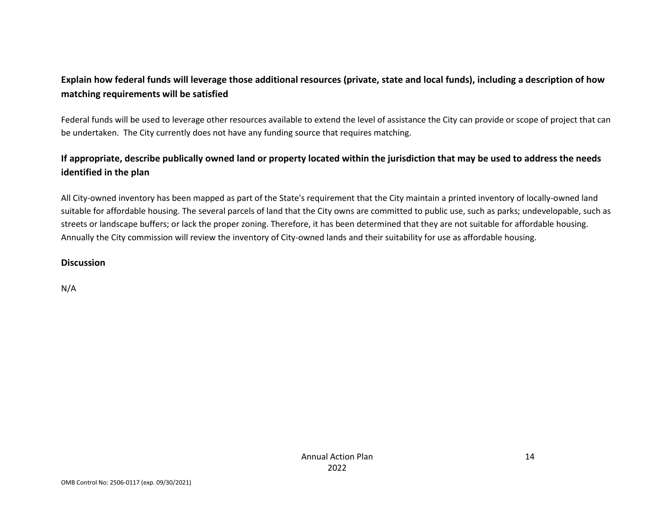# **Explain how federal funds will leverage those additional resources (private, state and local funds), including a description of how matching requirements will be satisfied**

Federal funds will be used to leverage other resources available to extend the level of assistance the City can provide or scope of project that can be undertaken. The City currently does not have any funding source that requires matching.

# **If appropriate, describe publically owned land or property located within the jurisdiction that may be used to address the needs identified in the plan**

All City-owned inventory has been mapped as part of the State's requirement that the City maintain a printed inventory of locally-owned land suitable for affordable housing. The several parcels of land that the City owns are committed to public use, such as parks; undevelopable, such as streets or landscape buffers; or lack the proper zoning. Therefore, it has been determined that they are not suitable for affordable housing. Annually the City commission will review the inventory of City-owned lands and their suitability for use as affordable housing.

### **Discussion**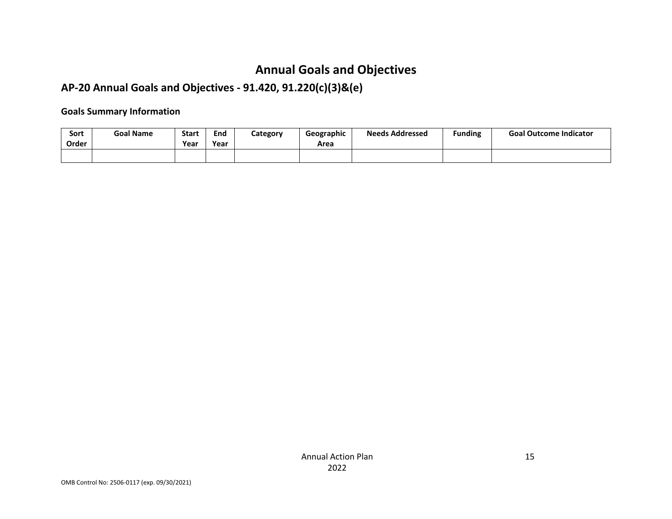# **Annual Goals and Objectives**

# **AP-20 Annual Goals and Objectives - 91.420, 91.220(c)(3)&(e)**

### **Goals Summary Information**

| Sort<br>Order | <b>Goal Name</b> | <b>Start</b><br>Year | End<br>Year | Category | Geographic<br>Area | <b>Needs Addressed</b> | <b>Funding</b> | <b>Goal Outcome Indicator</b> |
|---------------|------------------|----------------------|-------------|----------|--------------------|------------------------|----------------|-------------------------------|
|               |                  |                      |             |          |                    |                        |                |                               |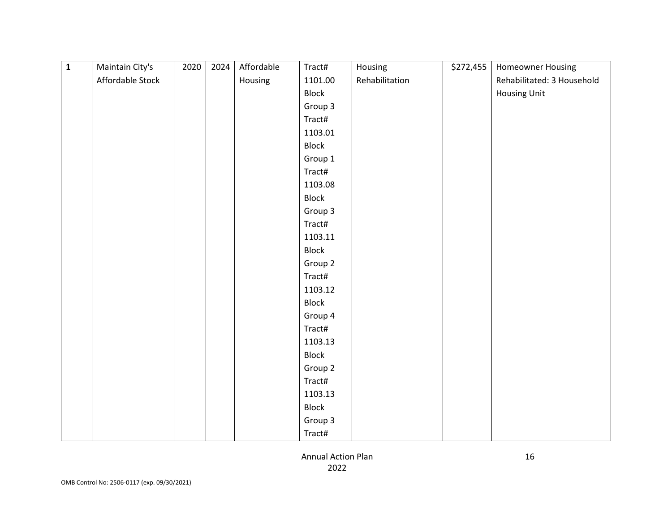| $\overline{\mathbf{1}}$ | Maintain City's  | 2020 | 2024 | Affordable | Tract#  | Housing        | \$272,455 | Homeowner Housing          |
|-------------------------|------------------|------|------|------------|---------|----------------|-----------|----------------------------|
|                         | Affordable Stock |      |      | Housing    | 1101.00 | Rehabilitation |           | Rehabilitated: 3 Household |
|                         |                  |      |      |            | Block   |                |           | <b>Housing Unit</b>        |
|                         |                  |      |      |            | Group 3 |                |           |                            |
|                         |                  |      |      |            | Tract#  |                |           |                            |
|                         |                  |      |      |            | 1103.01 |                |           |                            |
|                         |                  |      |      |            | Block   |                |           |                            |
|                         |                  |      |      |            | Group 1 |                |           |                            |
|                         |                  |      |      |            | Tract#  |                |           |                            |
|                         |                  |      |      |            | 1103.08 |                |           |                            |
|                         |                  |      |      |            | Block   |                |           |                            |
|                         |                  |      |      |            | Group 3 |                |           |                            |
|                         |                  |      |      |            | Tract#  |                |           |                            |
|                         |                  |      |      |            | 1103.11 |                |           |                            |
|                         |                  |      |      |            | Block   |                |           |                            |
|                         |                  |      |      |            | Group 2 |                |           |                            |
|                         |                  |      |      |            | Tract#  |                |           |                            |
|                         |                  |      |      |            | 1103.12 |                |           |                            |
|                         |                  |      |      |            | Block   |                |           |                            |
|                         |                  |      |      |            | Group 4 |                |           |                            |
|                         |                  |      |      |            | Tract#  |                |           |                            |
|                         |                  |      |      |            | 1103.13 |                |           |                            |
|                         |                  |      |      |            | Block   |                |           |                            |
|                         |                  |      |      |            | Group 2 |                |           |                            |
|                         |                  |      |      |            | Tract#  |                |           |                            |
|                         |                  |      |      |            | 1103.13 |                |           |                            |
|                         |                  |      |      |            | Block   |                |           |                            |
|                         |                  |      |      |            | Group 3 |                |           |                            |
|                         |                  |      |      |            | Tract#  |                |           |                            |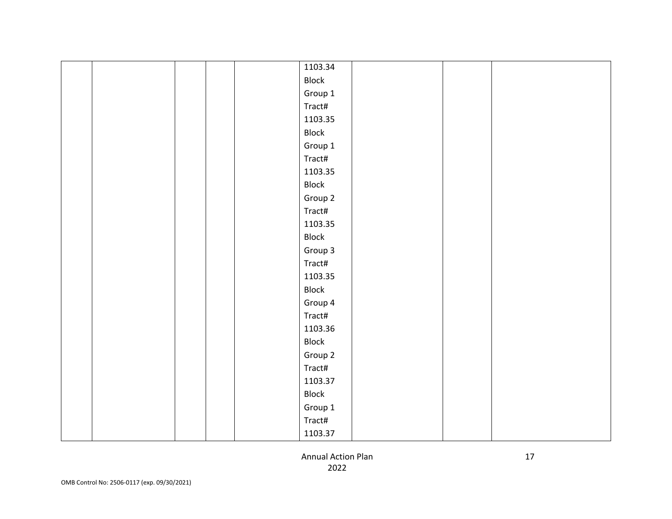|  | 1103.34 |  |  |
|--|---------|--|--|
|  | Block   |  |  |
|  | Group 1 |  |  |
|  | Tract#  |  |  |
|  | 1103.35 |  |  |
|  | Block   |  |  |
|  | Group 1 |  |  |
|  | Tract#  |  |  |
|  | 1103.35 |  |  |
|  | Block   |  |  |
|  | Group 2 |  |  |
|  | Tract#  |  |  |
|  | 1103.35 |  |  |
|  | Block   |  |  |
|  | Group 3 |  |  |
|  | Tract#  |  |  |
|  | 1103.35 |  |  |
|  | Block   |  |  |
|  | Group 4 |  |  |
|  | Tract#  |  |  |
|  | 1103.36 |  |  |
|  | Block   |  |  |
|  | Group 2 |  |  |
|  | Tract#  |  |  |
|  | 1103.37 |  |  |
|  | Block   |  |  |
|  | Group 1 |  |  |
|  | Tract#  |  |  |
|  | 1103.37 |  |  |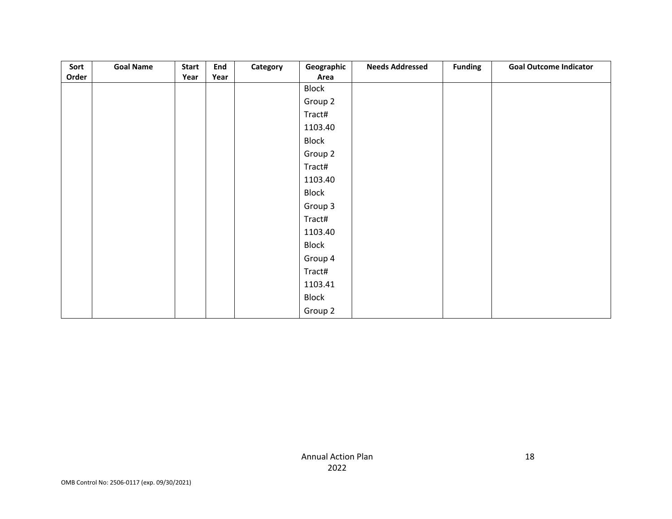| Sort  | <b>Goal Name</b> | <b>Start</b> | End  | Category | Geographic | <b>Needs Addressed</b> | <b>Funding</b> | <b>Goal Outcome Indicator</b> |
|-------|------------------|--------------|------|----------|------------|------------------------|----------------|-------------------------------|
| Order |                  | Year         | Year |          | Area       |                        |                |                               |
|       |                  |              |      |          | Block      |                        |                |                               |
|       |                  |              |      |          | Group 2    |                        |                |                               |
|       |                  |              |      |          | Tract#     |                        |                |                               |
|       |                  |              |      |          | 1103.40    |                        |                |                               |
|       |                  |              |      |          | Block      |                        |                |                               |
|       |                  |              |      |          | Group 2    |                        |                |                               |
|       |                  |              |      |          | Tract#     |                        |                |                               |
|       |                  |              |      |          | 1103.40    |                        |                |                               |
|       |                  |              |      |          | Block      |                        |                |                               |
|       |                  |              |      |          | Group 3    |                        |                |                               |
|       |                  |              |      |          | Tract#     |                        |                |                               |
|       |                  |              |      |          | 1103.40    |                        |                |                               |
|       |                  |              |      |          | Block      |                        |                |                               |
|       |                  |              |      |          | Group 4    |                        |                |                               |
|       |                  |              |      |          | Tract#     |                        |                |                               |
|       |                  |              |      |          | 1103.41    |                        |                |                               |
|       |                  |              |      |          | Block      |                        |                |                               |
|       |                  |              |      |          | Group 2    |                        |                |                               |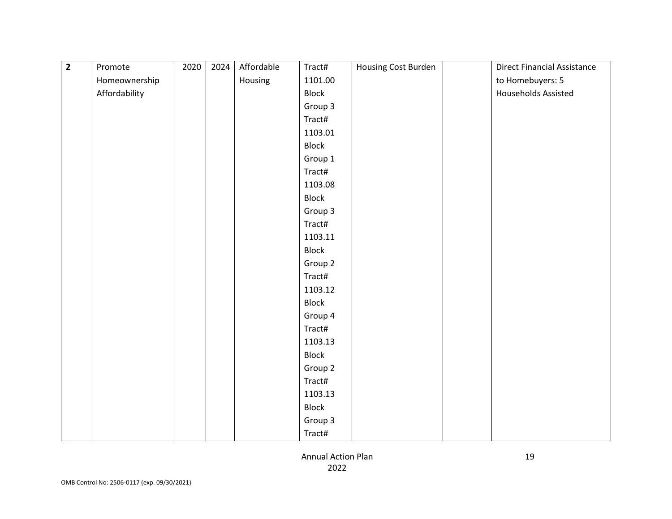| $\overline{2}$ | Promote       | 2020 | 2024 | Affordable | Tract#  | Housing Cost Burden | <b>Direct Financial Assistance</b> |
|----------------|---------------|------|------|------------|---------|---------------------|------------------------------------|
|                | Homeownership |      |      | Housing    | 1101.00 |                     | to Homebuyers: 5                   |
|                | Affordability |      |      |            | Block   |                     | <b>Households Assisted</b>         |
|                |               |      |      |            | Group 3 |                     |                                    |
|                |               |      |      |            | Tract#  |                     |                                    |
|                |               |      |      |            | 1103.01 |                     |                                    |
|                |               |      |      |            | Block   |                     |                                    |
|                |               |      |      |            | Group 1 |                     |                                    |
|                |               |      |      |            | Tract#  |                     |                                    |
|                |               |      |      |            | 1103.08 |                     |                                    |
|                |               |      |      |            | Block   |                     |                                    |
|                |               |      |      |            | Group 3 |                     |                                    |
|                |               |      |      |            | Tract#  |                     |                                    |
|                |               |      |      |            | 1103.11 |                     |                                    |
|                |               |      |      |            | Block   |                     |                                    |
|                |               |      |      |            | Group 2 |                     |                                    |
|                |               |      |      |            | Tract#  |                     |                                    |
|                |               |      |      |            | 1103.12 |                     |                                    |
|                |               |      |      |            | Block   |                     |                                    |
|                |               |      |      |            | Group 4 |                     |                                    |
|                |               |      |      |            | Tract#  |                     |                                    |
|                |               |      |      |            | 1103.13 |                     |                                    |
|                |               |      |      |            | Block   |                     |                                    |
|                |               |      |      |            | Group 2 |                     |                                    |
|                |               |      |      |            | Tract#  |                     |                                    |
|                |               |      |      |            | 1103.13 |                     |                                    |
|                |               |      |      |            | Block   |                     |                                    |
|                |               |      |      |            | Group 3 |                     |                                    |
|                |               |      |      |            | Tract#  |                     |                                    |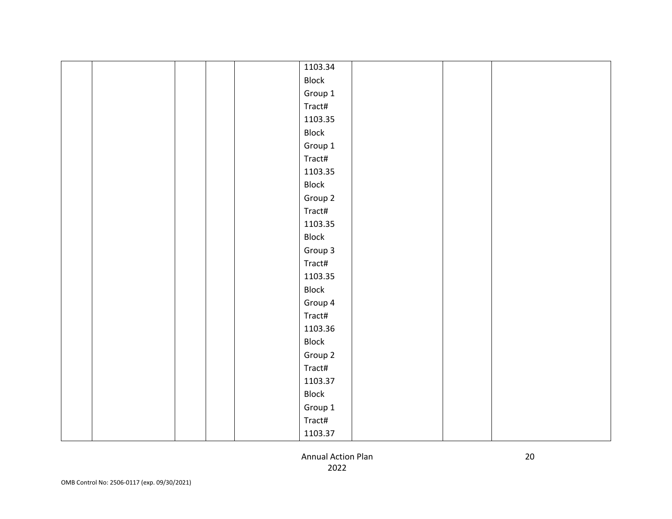|  | 1103.34 |  |  |
|--|---------|--|--|
|  | Block   |  |  |
|  | Group 1 |  |  |
|  | Tract#  |  |  |
|  | 1103.35 |  |  |
|  | Block   |  |  |
|  | Group 1 |  |  |
|  | Tract#  |  |  |
|  | 1103.35 |  |  |
|  | Block   |  |  |
|  | Group 2 |  |  |
|  | Tract#  |  |  |
|  | 1103.35 |  |  |
|  | Block   |  |  |
|  | Group 3 |  |  |
|  | Tract#  |  |  |
|  | 1103.35 |  |  |
|  | Block   |  |  |
|  | Group 4 |  |  |
|  | Tract#  |  |  |
|  | 1103.36 |  |  |
|  | Block   |  |  |
|  | Group 2 |  |  |
|  | Tract#  |  |  |
|  | 1103.37 |  |  |
|  | Block   |  |  |
|  | Group 1 |  |  |
|  | Tract#  |  |  |
|  | 1103.37 |  |  |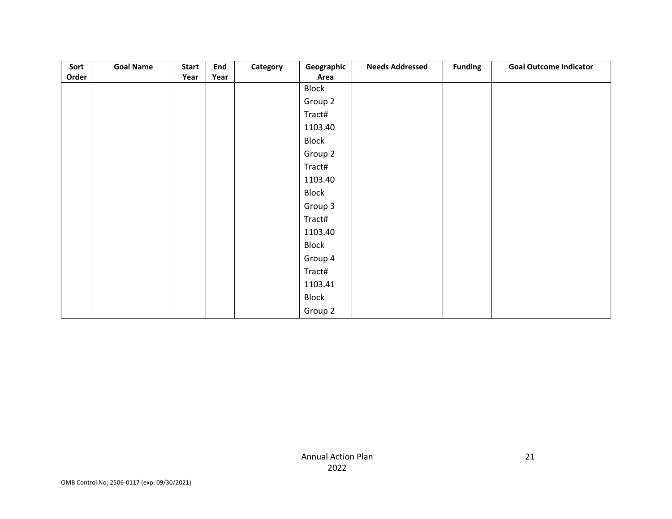| Sort  | <b>Goal Name</b> | <b>Start</b> | End  | Category | Geographic | <b>Needs Addressed</b> | <b>Funding</b> | <b>Goal Outcome Indicator</b> |
|-------|------------------|--------------|------|----------|------------|------------------------|----------------|-------------------------------|
| Order |                  | Year         | Year |          | Area       |                        |                |                               |
|       |                  |              |      |          | Block      |                        |                |                               |
|       |                  |              |      |          | Group 2    |                        |                |                               |
|       |                  |              |      |          | Tract#     |                        |                |                               |
|       |                  |              |      |          | 1103.40    |                        |                |                               |
|       |                  |              |      |          | Block      |                        |                |                               |
|       |                  |              |      |          | Group 2    |                        |                |                               |
|       |                  |              |      |          | Tract#     |                        |                |                               |
|       |                  |              |      |          | 1103.40    |                        |                |                               |
|       |                  |              |      |          | Block      |                        |                |                               |
|       |                  |              |      |          | Group 3    |                        |                |                               |
|       |                  |              |      |          | Tract#     |                        |                |                               |
|       |                  |              |      |          | 1103.40    |                        |                |                               |
|       |                  |              |      |          | Block      |                        |                |                               |
|       |                  |              |      |          | Group 4    |                        |                |                               |
|       |                  |              |      |          | Tract#     |                        |                |                               |
|       |                  |              |      |          | 1103.41    |                        |                |                               |
|       |                  |              |      |          | Block      |                        |                |                               |
|       |                  |              |      |          | Group 2    |                        |                |                               |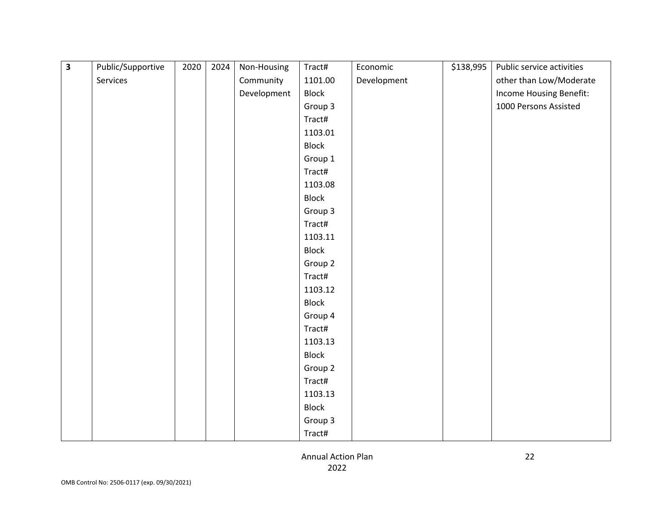| $\overline{\mathbf{3}}$ | Public/Supportive | 2020 | 2024 | Non-Housing | Tract#       | Economic    | \$138,995 | Public service activities |
|-------------------------|-------------------|------|------|-------------|--------------|-------------|-----------|---------------------------|
|                         | Services          |      |      | Community   | 1101.00      | Development |           | other than Low/Moderate   |
|                         |                   |      |      | Development | <b>Block</b> |             |           | Income Housing Benefit:   |
|                         |                   |      |      |             | Group 3      |             |           | 1000 Persons Assisted     |
|                         |                   |      |      |             | Tract#       |             |           |                           |
|                         |                   |      |      |             | 1103.01      |             |           |                           |
|                         |                   |      |      |             | <b>Block</b> |             |           |                           |
|                         |                   |      |      |             | Group 1      |             |           |                           |
|                         |                   |      |      |             | Tract#       |             |           |                           |
|                         |                   |      |      |             | 1103.08      |             |           |                           |
|                         |                   |      |      |             | <b>Block</b> |             |           |                           |
|                         |                   |      |      |             | Group 3      |             |           |                           |
|                         |                   |      |      |             | Tract#       |             |           |                           |
|                         |                   |      |      |             | 1103.11      |             |           |                           |
|                         |                   |      |      |             | <b>Block</b> |             |           |                           |
|                         |                   |      |      |             | Group 2      |             |           |                           |
|                         |                   |      |      |             | Tract#       |             |           |                           |
|                         |                   |      |      |             | 1103.12      |             |           |                           |
|                         |                   |      |      |             | <b>Block</b> |             |           |                           |
|                         |                   |      |      |             | Group 4      |             |           |                           |
|                         |                   |      |      |             | Tract#       |             |           |                           |
|                         |                   |      |      |             | 1103.13      |             |           |                           |
|                         |                   |      |      |             | <b>Block</b> |             |           |                           |
|                         |                   |      |      |             | Group 2      |             |           |                           |
|                         |                   |      |      |             | Tract#       |             |           |                           |
|                         |                   |      |      |             | 1103.13      |             |           |                           |
|                         |                   |      |      |             | <b>Block</b> |             |           |                           |
|                         |                   |      |      |             | Group 3      |             |           |                           |
|                         |                   |      |      |             | Tract#       |             |           |                           |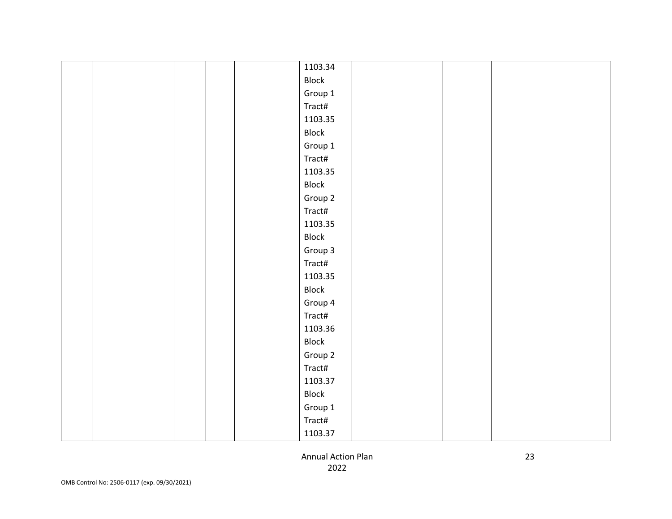|  | 1103.34 |  |  |
|--|---------|--|--|
|  | Block   |  |  |
|  | Group 1 |  |  |
|  | Tract#  |  |  |
|  | 1103.35 |  |  |
|  | Block   |  |  |
|  | Group 1 |  |  |
|  | Tract#  |  |  |
|  | 1103.35 |  |  |
|  | Block   |  |  |
|  | Group 2 |  |  |
|  | Tract#  |  |  |
|  | 1103.35 |  |  |
|  | Block   |  |  |
|  | Group 3 |  |  |
|  | Tract#  |  |  |
|  | 1103.35 |  |  |
|  | Block   |  |  |
|  | Group 4 |  |  |
|  | Tract#  |  |  |
|  | 1103.36 |  |  |
|  | Block   |  |  |
|  | Group 2 |  |  |
|  | Tract#  |  |  |
|  | 1103.37 |  |  |
|  | Block   |  |  |
|  | Group 1 |  |  |
|  | Tract#  |  |  |
|  | 1103.37 |  |  |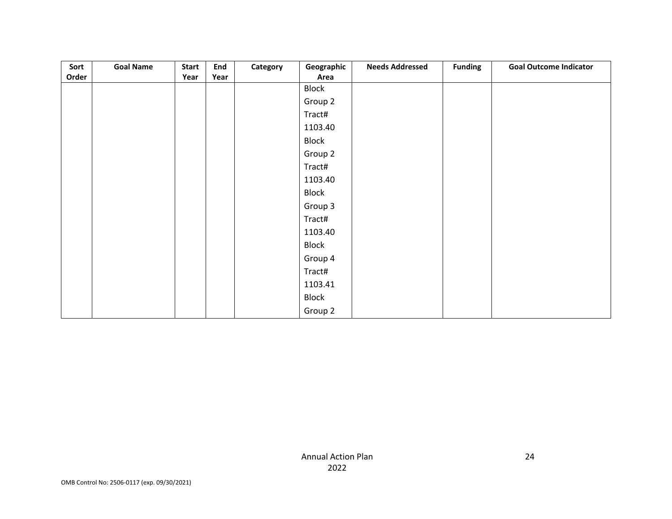| Sort  | <b>Goal Name</b> | <b>Start</b> | End  | Category | Geographic | <b>Needs Addressed</b> | <b>Funding</b> | <b>Goal Outcome Indicator</b> |
|-------|------------------|--------------|------|----------|------------|------------------------|----------------|-------------------------------|
| Order |                  | Year         | Year |          | Area       |                        |                |                               |
|       |                  |              |      |          | Block      |                        |                |                               |
|       |                  |              |      |          | Group 2    |                        |                |                               |
|       |                  |              |      |          | Tract#     |                        |                |                               |
|       |                  |              |      |          | 1103.40    |                        |                |                               |
|       |                  |              |      |          | Block      |                        |                |                               |
|       |                  |              |      |          | Group 2    |                        |                |                               |
|       |                  |              |      |          | Tract#     |                        |                |                               |
|       |                  |              |      |          | 1103.40    |                        |                |                               |
|       |                  |              |      |          | Block      |                        |                |                               |
|       |                  |              |      |          | Group 3    |                        |                |                               |
|       |                  |              |      |          | Tract#     |                        |                |                               |
|       |                  |              |      |          | 1103.40    |                        |                |                               |
|       |                  |              |      |          | Block      |                        |                |                               |
|       |                  |              |      |          | Group 4    |                        |                |                               |
|       |                  |              |      |          | Tract#     |                        |                |                               |
|       |                  |              |      |          | 1103.41    |                        |                |                               |
|       |                  |              |      |          | Block      |                        |                |                               |
|       |                  |              |      |          | Group 2    |                        |                |                               |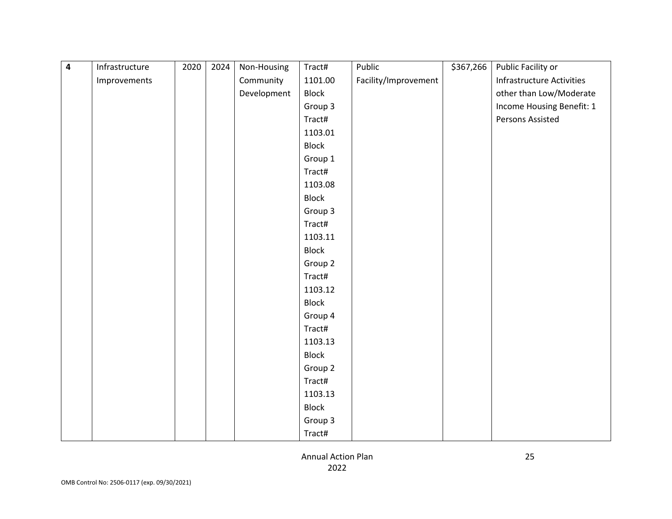| $\overline{\mathbf{4}}$ | Infrastructure | 2020 | 2024 | Non-Housing | Tract#       | Public               | \$367,266 | Public Facility or               |
|-------------------------|----------------|------|------|-------------|--------------|----------------------|-----------|----------------------------------|
|                         | Improvements   |      |      | Community   | 1101.00      | Facility/Improvement |           | <b>Infrastructure Activities</b> |
|                         |                |      |      | Development | <b>Block</b> |                      |           | other than Low/Moderate          |
|                         |                |      |      |             | Group 3      |                      |           | Income Housing Benefit: 1        |
|                         |                |      |      |             | Tract#       |                      |           | Persons Assisted                 |
|                         |                |      |      |             | 1103.01      |                      |           |                                  |
|                         |                |      |      |             | Block        |                      |           |                                  |
|                         |                |      |      |             | Group 1      |                      |           |                                  |
|                         |                |      |      |             | Tract#       |                      |           |                                  |
|                         |                |      |      |             | 1103.08      |                      |           |                                  |
|                         |                |      |      |             | <b>Block</b> |                      |           |                                  |
|                         |                |      |      |             | Group 3      |                      |           |                                  |
|                         |                |      |      |             | Tract#       |                      |           |                                  |
|                         |                |      |      |             | 1103.11      |                      |           |                                  |
|                         |                |      |      |             | Block        |                      |           |                                  |
|                         |                |      |      |             | Group 2      |                      |           |                                  |
|                         |                |      |      |             | Tract#       |                      |           |                                  |
|                         |                |      |      |             | 1103.12      |                      |           |                                  |
|                         |                |      |      |             | Block        |                      |           |                                  |
|                         |                |      |      |             | Group 4      |                      |           |                                  |
|                         |                |      |      |             | Tract#       |                      |           |                                  |
|                         |                |      |      |             | 1103.13      |                      |           |                                  |
|                         |                |      |      |             | <b>Block</b> |                      |           |                                  |
|                         |                |      |      |             | Group 2      |                      |           |                                  |
|                         |                |      |      |             | Tract#       |                      |           |                                  |
|                         |                |      |      |             | 1103.13      |                      |           |                                  |
|                         |                |      |      |             | Block        |                      |           |                                  |
|                         |                |      |      |             | Group 3      |                      |           |                                  |
|                         |                |      |      |             | Tract#       |                      |           |                                  |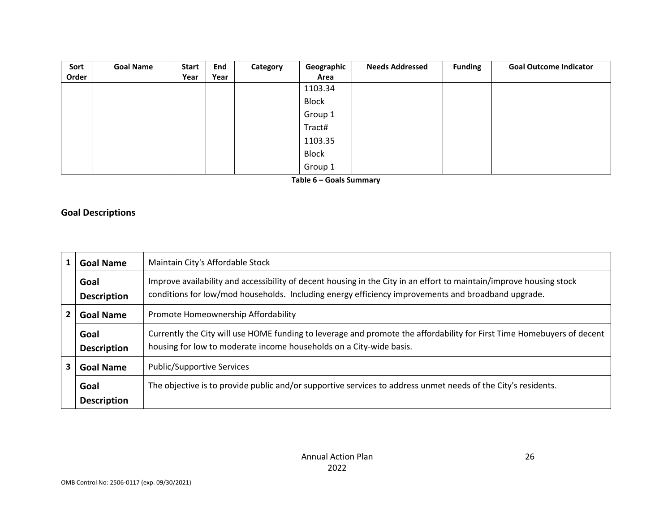| Sort  | <b>Goal Name</b> | <b>Start</b> | End  | Category | Geographic   | <b>Needs Addressed</b> | <b>Funding</b> | <b>Goal Outcome Indicator</b> |
|-------|------------------|--------------|------|----------|--------------|------------------------|----------------|-------------------------------|
| Order |                  | Year         | Year |          | Area         |                        |                |                               |
|       |                  |              |      |          | 1103.34      |                        |                |                               |
|       |                  |              |      |          | <b>Block</b> |                        |                |                               |
|       |                  |              |      |          | Group 1      |                        |                |                               |
|       |                  |              |      |          | Tract#       |                        |                |                               |
|       |                  |              |      |          | 1103.35      |                        |                |                               |
|       |                  |              |      |          | <b>Block</b> |                        |                |                               |
|       |                  |              |      |          | Group 1      |                        |                |                               |

**Table 6 – Goals Summary**

# **Goal Descriptions**

|    | <b>Goal Name</b>           | Maintain City's Affordable Stock                                                                                                                                                                                          |
|----|----------------------------|---------------------------------------------------------------------------------------------------------------------------------------------------------------------------------------------------------------------------|
|    | Goal<br><b>Description</b> | Improve availability and accessibility of decent housing in the City in an effort to maintain/improve housing stock<br>conditions for low/mod households. Including energy efficiency improvements and broadband upgrade. |
|    | <b>Goal Name</b>           | Promote Homeownership Affordability                                                                                                                                                                                       |
|    | Goal<br><b>Description</b> | Currently the City will use HOME funding to leverage and promote the affordability for First Time Homebuyers of decent<br>housing for low to moderate income households on a City-wide basis.                             |
| 3. | <b>Goal Name</b>           | <b>Public/Supportive Services</b>                                                                                                                                                                                         |
|    | Goal                       | The objective is to provide public and/or supportive services to address unmet needs of the City's residents.                                                                                                             |
|    | <b>Description</b>         |                                                                                                                                                                                                                           |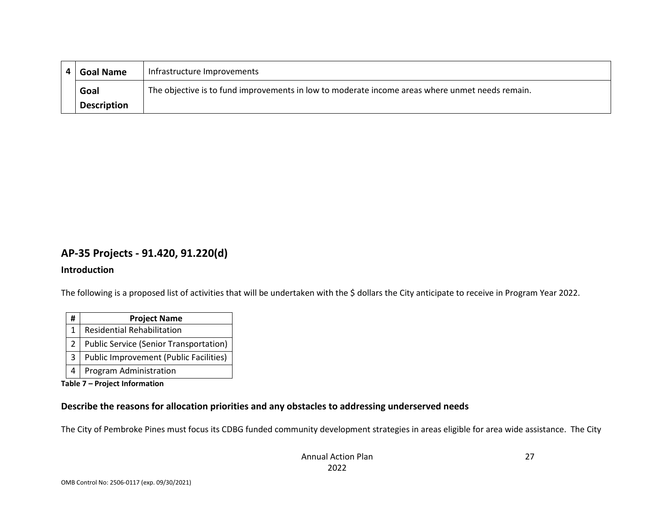| 4 I | <b>Goal Name</b>   | Infrastructure Improvements                                                                     |
|-----|--------------------|-------------------------------------------------------------------------------------------------|
|     | Goal               | The objective is to fund improvements in low to moderate income areas where unmet needs remain. |
|     | <b>Description</b> |                                                                                                 |

### **AP-35 Projects - 91.420, 91.220(d)**

#### **Introduction**

The following is a proposed list of activities that will be undertaken with the \$ dollars the City anticipate to receive in Program Year 2022.

| #            | <b>Project Name</b>                           |
|--------------|-----------------------------------------------|
| $\mathbf{1}$ | Residential Rehabilitation                    |
| $2^{\circ}$  | <b>Public Service (Senior Transportation)</b> |
|              | <b>Public Improvement (Public Facilities)</b> |
|              | Program Administration                        |

**Table 7 – Project Information**

### **Describe the reasons for allocation priorities and any obstacles to addressing underserved needs**

The City of Pembroke Pines must focus its CDBG funded community development strategies in areas eligible for area wide assistance. The City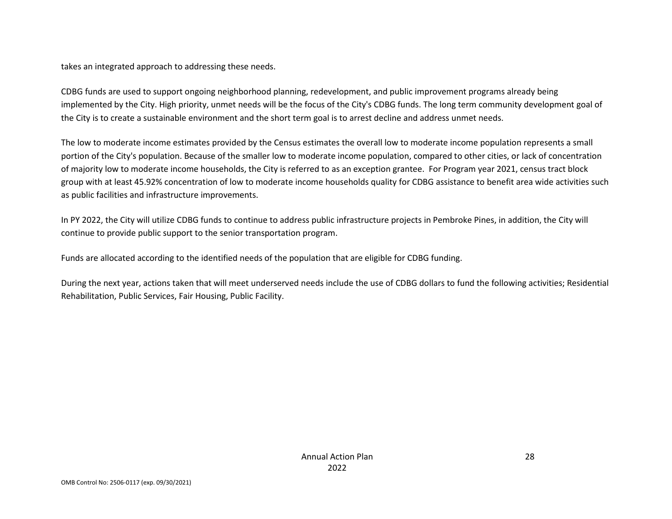takes an integrated approach to addressing these needs.

CDBG funds are used to support ongoing neighborhood planning, redevelopment, and public improvement programs already being implemented by the City. High priority, unmet needs will be the focus of the City's CDBG funds. The long term community development goal of the City is to create a sustainable environment and the short term goal is to arrest decline and address unmet needs.

The low to moderate income estimates provided by the Census estimates the overall low to moderate income population represents a small portion of the City's population. Because of the smaller low to moderate income population, compared to other cities, or lack of concentration of majority low to moderate income households, the City is referred to as an exception grantee. For Program year 2021, census tract block group with at least 45.92% concentration of low to moderate income households quality for CDBG assistance to benefit area wide activities such as public facilities and infrastructure improvements.

In PY 2022, the City will utilize CDBG funds to continue to address public infrastructure projects in Pembroke Pines, in addition, the City will continue to provide public support to the senior transportation program.

Funds are allocated according to the identified needs of the population that are eligible for CDBG funding.

During the next year, actions taken that will meet underserved needs include the use of CDBG dollars to fund the following activities; Residential Rehabilitation, Public Services, Fair Housing, Public Facility.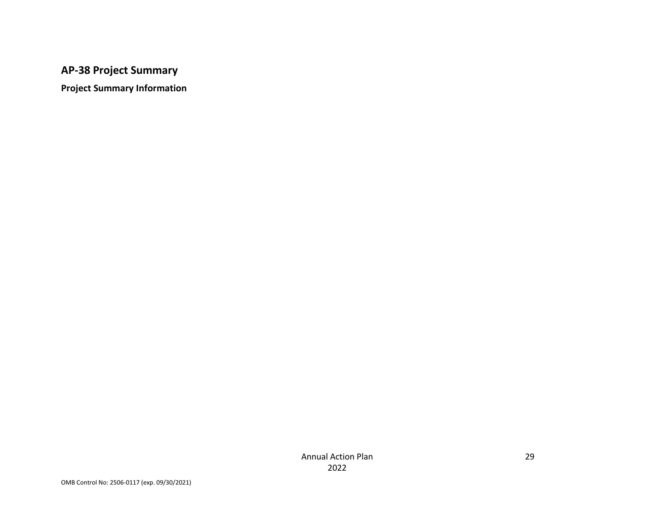# **AP-38 Project Summary**

**Project Summary Information**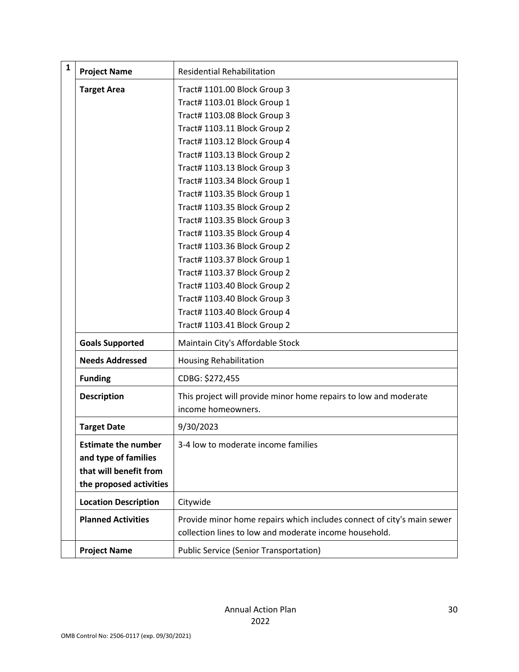| $\mathbf{1}$ | <b>Project Name</b>         | <b>Residential Rehabilitation</b>                                      |
|--------------|-----------------------------|------------------------------------------------------------------------|
|              | <b>Target Area</b>          | Tract# 1101.00 Block Group 3                                           |
|              |                             | Tract# 1103.01 Block Group 1                                           |
|              |                             | Tract# 1103.08 Block Group 3                                           |
|              |                             | Tract# 1103.11 Block Group 2                                           |
|              |                             | Tract# 1103.12 Block Group 4                                           |
|              |                             | Tract# 1103.13 Block Group 2                                           |
|              |                             | Tract# 1103.13 Block Group 3                                           |
|              |                             | Tract# 1103.34 Block Group 1                                           |
|              |                             | Tract# 1103.35 Block Group 1                                           |
|              |                             | Tract# 1103.35 Block Group 2                                           |
|              |                             | Tract# 1103.35 Block Group 3                                           |
|              |                             | Tract# 1103.35 Block Group 4                                           |
|              |                             | Tract# 1103.36 Block Group 2                                           |
|              |                             | Tract# 1103.37 Block Group 1                                           |
|              |                             | Tract# 1103.37 Block Group 2                                           |
|              |                             | Tract# 1103.40 Block Group 2                                           |
|              |                             | Tract# 1103.40 Block Group 3                                           |
|              |                             | Tract# 1103.40 Block Group 4                                           |
|              |                             | Tract# 1103.41 Block Group 2                                           |
|              | <b>Goals Supported</b>      | Maintain City's Affordable Stock                                       |
|              | <b>Needs Addressed</b>      | <b>Housing Rehabilitation</b>                                          |
|              | <b>Funding</b>              | CDBG: \$272,455                                                        |
|              | <b>Description</b>          | This project will provide minor home repairs to low and moderate       |
|              |                             | income homeowners.                                                     |
|              | <b>Target Date</b>          | 9/30/2023                                                              |
|              | <b>Estimate the number</b>  | 3-4 low to moderate income families                                    |
|              | and type of families        |                                                                        |
|              | that will benefit from      |                                                                        |
|              | the proposed activities     |                                                                        |
|              | <b>Location Description</b> | Citywide                                                               |
|              | <b>Planned Activities</b>   | Provide minor home repairs which includes connect of city's main sewer |
|              |                             | collection lines to low and moderate income household.                 |
|              | <b>Project Name</b>         | <b>Public Service (Senior Transportation)</b>                          |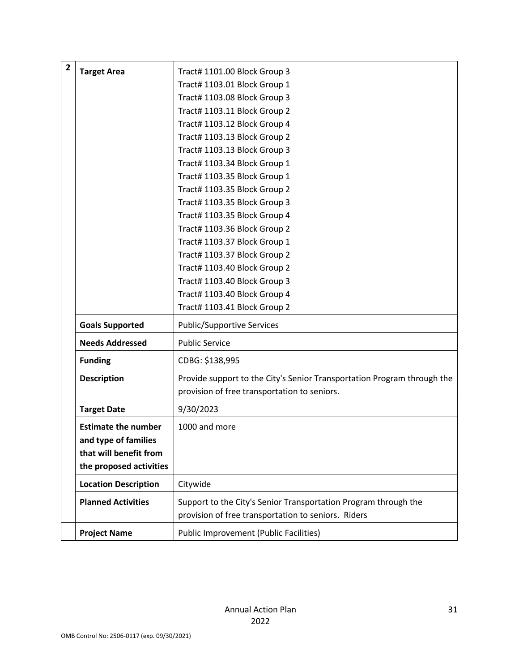| $\overline{\mathbf{2}}$ | <b>Target Area</b>          | Tract# 1101.00 Block Group 3                                            |
|-------------------------|-----------------------------|-------------------------------------------------------------------------|
|                         |                             | Tract# 1103.01 Block Group 1                                            |
|                         |                             | Tract# 1103.08 Block Group 3                                            |
|                         |                             | Tract# 1103.11 Block Group 2                                            |
|                         |                             | Tract# 1103.12 Block Group 4                                            |
|                         |                             | Tract# 1103.13 Block Group 2                                            |
|                         |                             | Tract# 1103.13 Block Group 3                                            |
|                         |                             | Tract# 1103.34 Block Group 1                                            |
|                         |                             | Tract# 1103.35 Block Group 1                                            |
|                         |                             | Tract# 1103.35 Block Group 2                                            |
|                         |                             | Tract# 1103.35 Block Group 3                                            |
|                         |                             | Tract# 1103.35 Block Group 4                                            |
|                         |                             | Tract# 1103.36 Block Group 2                                            |
|                         |                             | Tract# 1103.37 Block Group 1                                            |
|                         |                             | Tract# 1103.37 Block Group 2                                            |
|                         |                             | Tract# 1103.40 Block Group 2                                            |
|                         |                             | Tract# 1103.40 Block Group 3                                            |
|                         |                             | Tract# 1103.40 Block Group 4                                            |
|                         |                             | Tract# 1103.41 Block Group 2                                            |
|                         | <b>Goals Supported</b>      | <b>Public/Supportive Services</b>                                       |
|                         | <b>Needs Addressed</b>      | <b>Public Service</b>                                                   |
|                         | <b>Funding</b>              | CDBG: \$138,995                                                         |
|                         | <b>Description</b>          | Provide support to the City's Senior Transportation Program through the |
|                         |                             | provision of free transportation to seniors.                            |
|                         | <b>Target Date</b>          | 9/30/2023                                                               |
|                         | <b>Estimate the number</b>  | 1000 and more                                                           |
|                         | and type of families        |                                                                         |
|                         | that will benefit from      |                                                                         |
|                         | the proposed activities     |                                                                         |
|                         | <b>Location Description</b> | Citywide                                                                |
|                         | <b>Planned Activities</b>   | Support to the City's Senior Transportation Program through the         |
|                         |                             | provision of free transportation to seniors. Riders                     |
|                         |                             |                                                                         |
|                         | <b>Project Name</b>         | Public Improvement (Public Facilities)                                  |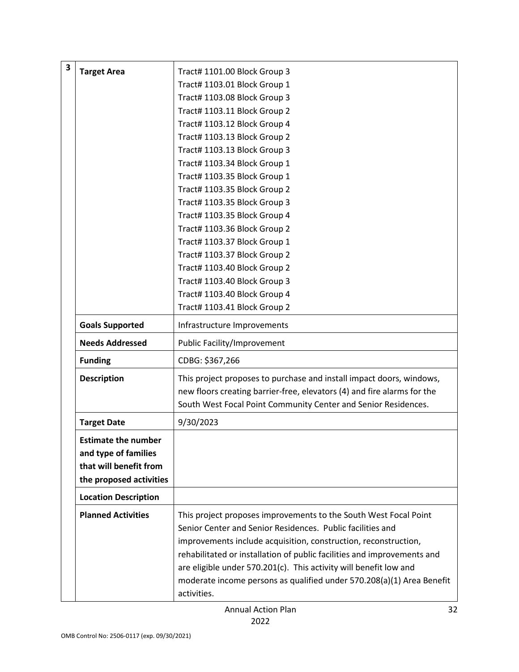| 3 |                             |                                                                         |
|---|-----------------------------|-------------------------------------------------------------------------|
|   | <b>Target Area</b>          | Tract# 1101.00 Block Group 3                                            |
|   |                             | Tract# 1103.01 Block Group 1                                            |
|   |                             | Tract# 1103.08 Block Group 3                                            |
|   |                             | Tract# 1103.11 Block Group 2                                            |
|   |                             | Tract# 1103.12 Block Group 4                                            |
|   |                             | Tract# 1103.13 Block Group 2                                            |
|   |                             | Tract# 1103.13 Block Group 3                                            |
|   |                             | Tract# 1103.34 Block Group 1                                            |
|   |                             | Tract# 1103.35 Block Group 1                                            |
|   |                             | Tract# 1103.35 Block Group 2                                            |
|   |                             | Tract# 1103.35 Block Group 3                                            |
|   |                             | Tract# 1103.35 Block Group 4                                            |
|   |                             | Tract# 1103.36 Block Group 2                                            |
|   |                             | Tract# 1103.37 Block Group 1                                            |
|   |                             | Tract# 1103.37 Block Group 2                                            |
|   |                             | Tract# 1103.40 Block Group 2                                            |
|   |                             | Tract# 1103.40 Block Group 3                                            |
|   |                             | Tract# 1103.40 Block Group 4                                            |
|   |                             | Tract# 1103.41 Block Group 2                                            |
|   | <b>Goals Supported</b>      | Infrastructure Improvements                                             |
|   | <b>Needs Addressed</b>      | Public Facility/Improvement                                             |
|   | <b>Funding</b>              | CDBG: \$367,266                                                         |
|   | <b>Description</b>          | This project proposes to purchase and install impact doors, windows,    |
|   |                             | new floors creating barrier-free, elevators (4) and fire alarms for the |
|   |                             | South West Focal Point Community Center and Senior Residences.          |
|   | <b>Target Date</b>          | 9/30/2023                                                               |
|   | <b>Estimate the number</b>  |                                                                         |
|   | and type of families        |                                                                         |
|   | that will benefit from      |                                                                         |
|   | the proposed activities     |                                                                         |
|   | <b>Location Description</b> |                                                                         |
|   | <b>Planned Activities</b>   | This project proposes improvements to the South West Focal Point        |
|   |                             | Senior Center and Senior Residences. Public facilities and              |
|   |                             | improvements include acquisition, construction, reconstruction,         |
|   |                             | rehabilitated or installation of public facilities and improvements and |
|   |                             | are eligible under 570.201(c). This activity will benefit low and       |
|   |                             | moderate income persons as qualified under 570.208(a)(1) Area Benefit   |
|   |                             | activities.                                                             |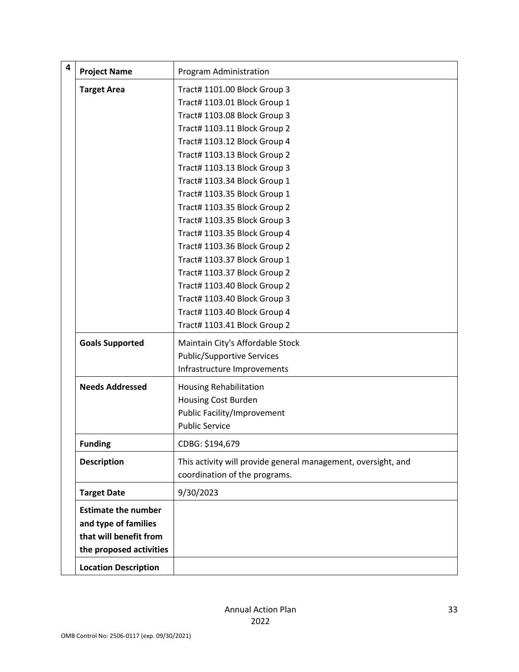| $\overline{\mathbf{4}}$ | <b>Project Name</b>         | Program Administration                                        |
|-------------------------|-----------------------------|---------------------------------------------------------------|
|                         | <b>Target Area</b>          | Tract# 1101.00 Block Group 3                                  |
|                         |                             | Tract# 1103.01 Block Group 1                                  |
|                         |                             | Tract# 1103.08 Block Group 3                                  |
|                         |                             | Tract# 1103.11 Block Group 2                                  |
|                         |                             | Tract# 1103.12 Block Group 4                                  |
|                         |                             | Tract# 1103.13 Block Group 2                                  |
|                         |                             | Tract# 1103.13 Block Group 3                                  |
|                         |                             | Tract# 1103.34 Block Group 1                                  |
|                         |                             | Tract# 1103.35 Block Group 1                                  |
|                         |                             | Tract# 1103.35 Block Group 2                                  |
|                         |                             | Tract# 1103.35 Block Group 3                                  |
|                         |                             | Tract# 1103.35 Block Group 4                                  |
|                         |                             | Tract# 1103.36 Block Group 2                                  |
|                         |                             | Tract# 1103.37 Block Group 1                                  |
|                         |                             | Tract# 1103.37 Block Group 2                                  |
|                         |                             | Tract# 1103.40 Block Group 2                                  |
|                         |                             | Tract# 1103.40 Block Group 3                                  |
|                         |                             | Tract# 1103.40 Block Group 4                                  |
|                         |                             | Tract# 1103.41 Block Group 2                                  |
|                         | <b>Goals Supported</b>      | Maintain City's Affordable Stock                              |
|                         |                             | <b>Public/Supportive Services</b>                             |
|                         |                             | Infrastructure Improvements                                   |
|                         | <b>Needs Addressed</b>      | <b>Housing Rehabilitation</b>                                 |
|                         |                             | <b>Housing Cost Burden</b>                                    |
|                         |                             | Public Facility/Improvement                                   |
|                         |                             | <b>Public Service</b>                                         |
|                         | <b>Funding</b>              | CDBG: \$194,679                                               |
|                         | <b>Description</b>          | This activity will provide general management, oversight, and |
|                         |                             | coordination of the programs.                                 |
|                         | <b>Target Date</b>          | 9/30/2023                                                     |
|                         | <b>Estimate the number</b>  |                                                               |
|                         | and type of families        |                                                               |
|                         | that will benefit from      |                                                               |
|                         | the proposed activities     |                                                               |
|                         | <b>Location Description</b> |                                                               |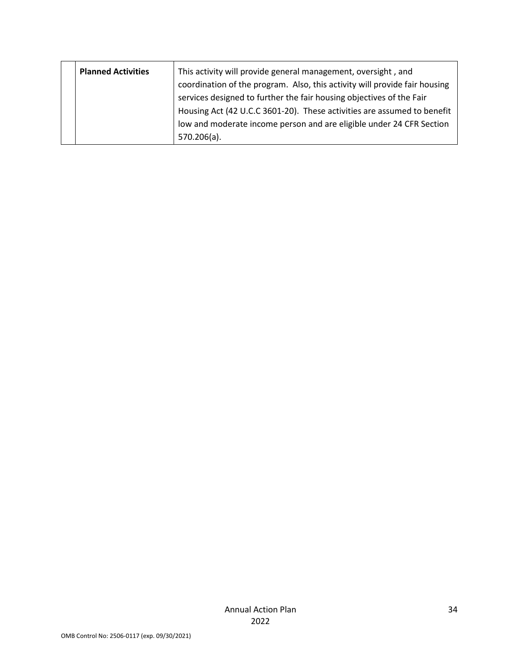| <b>Planned Activities</b> | This activity will provide general management, oversight, and              |
|---------------------------|----------------------------------------------------------------------------|
|                           | coordination of the program. Also, this activity will provide fair housing |
|                           | services designed to further the fair housing objectives of the Fair       |
|                           | Housing Act (42 U.C.C 3601-20). These activities are assumed to benefit    |
|                           | low and moderate income person and are eligible under 24 CFR Section       |
|                           | $570.206(a)$ .                                                             |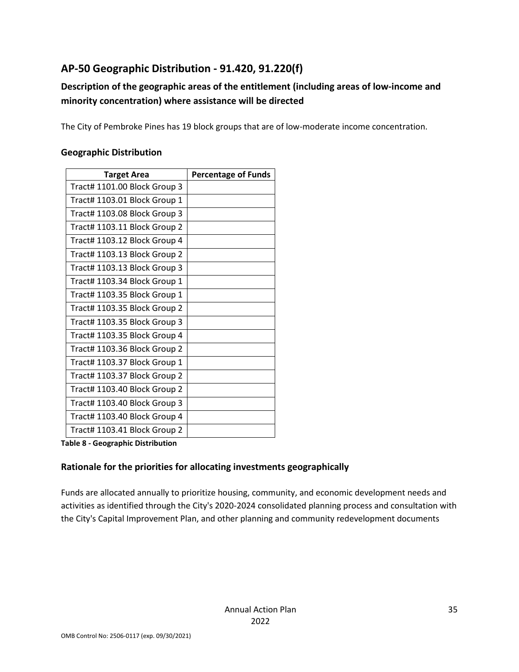# **AP-50 Geographic Distribution - 91.420, 91.220(f)**

# **Description of the geographic areas of the entitlement (including areas of low-income and minority concentration) where assistance will be directed**

The City of Pembroke Pines has 19 block groups that are of low-moderate income concentration.

### **Geographic Distribution**

| <b>Target Area</b>           | <b>Percentage of Funds</b> |
|------------------------------|----------------------------|
| Tract# 1101.00 Block Group 3 |                            |
| Tract# 1103.01 Block Group 1 |                            |
| Tract# 1103.08 Block Group 3 |                            |
| Tract# 1103.11 Block Group 2 |                            |
| Tract# 1103.12 Block Group 4 |                            |
| Tract# 1103.13 Block Group 2 |                            |
| Tract# 1103.13 Block Group 3 |                            |
| Tract# 1103.34 Block Group 1 |                            |
| Tract# 1103.35 Block Group 1 |                            |
| Tract# 1103.35 Block Group 2 |                            |
| Tract# 1103.35 Block Group 3 |                            |
| Tract# 1103.35 Block Group 4 |                            |
| Tract# 1103.36 Block Group 2 |                            |
| Tract# 1103.37 Block Group 1 |                            |
| Tract# 1103.37 Block Group 2 |                            |
| Tract# 1103.40 Block Group 2 |                            |
| Tract# 1103.40 Block Group 3 |                            |
| Tract# 1103.40 Block Group 4 |                            |
| Tract# 1103.41 Block Group 2 |                            |

**Table 8 - Geographic Distribution** 

### **Rationale for the priorities for allocating investments geographically**

Funds are allocated annually to prioritize housing, community, and economic development needs and activities as identified through the City's 2020-2024 consolidated planning process and consultation with the City's Capital Improvement Plan, and other planning and community redevelopment documents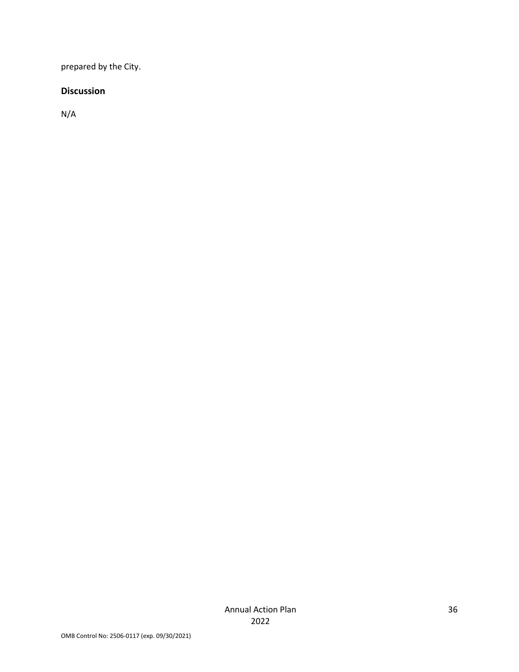prepared by the City.

### **Discussion**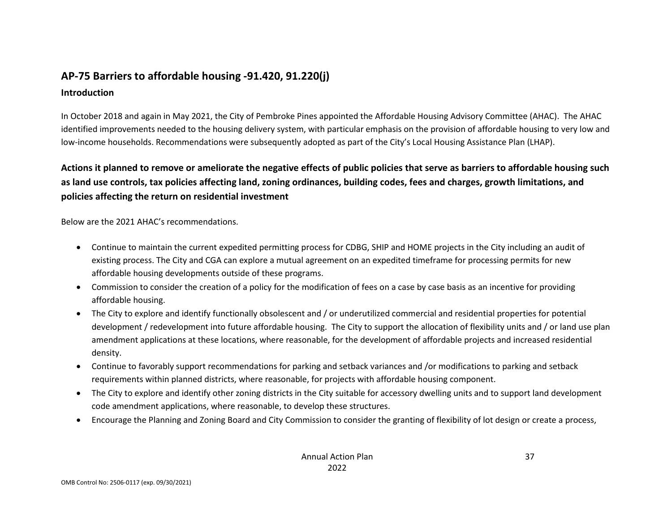# **AP-75 Barriers to affordable housing -91.420, 91.220(j) Introduction**

In October 2018 and again in May 2021, the City of Pembroke Pines appointed the Affordable Housing Advisory Committee (AHAC). The AHAC identified improvements needed to the housing delivery system, with particular emphasis on the provision of affordable housing to very low and low-income households. Recommendations were subsequently adopted as part of the City's Local Housing Assistance Plan (LHAP).

**Actions it planned to remove or ameliorate the negative effects of public policies that serve as barriers to affordable housing such as land use controls, tax policies affecting land, zoning ordinances, building codes, fees and charges, growth limitations, and policies affecting the return on residential investment**

Below are the 2021 AHAC's recommendations.

- Continue to maintain the current expedited permitting process for CDBG, SHIP and HOME projects in the City including an audit of existing process. The City and CGA can explore a mutual agreement on an expedited timeframe for processing permits for new affordable housing developments outside of these programs.
- Commission to consider the creation of a policy for the modification of fees on a case by case basis as an incentive for providing affordable housing.
- The City to explore and identify functionally obsolescent and / or underutilized commercial and residential properties for potential development / redevelopment into future affordable housing. The City to support the allocation of flexibility units and / or land use plan amendment applications at these locations, where reasonable, for the development of affordable projects and increased residential density.
- Continue to favorably support recommendations for parking and setback variances and /or modifications to parking and setback requirements within planned districts, where reasonable, for projects with affordable housing component.
- The City to explore and identify other zoning districts in the City suitable for accessory dwelling units and to support land development code amendment applications, where reasonable, to develop these structures.
- Encourage the Planning and Zoning Board and City Commission to consider the granting of flexibility of lot design or create a process,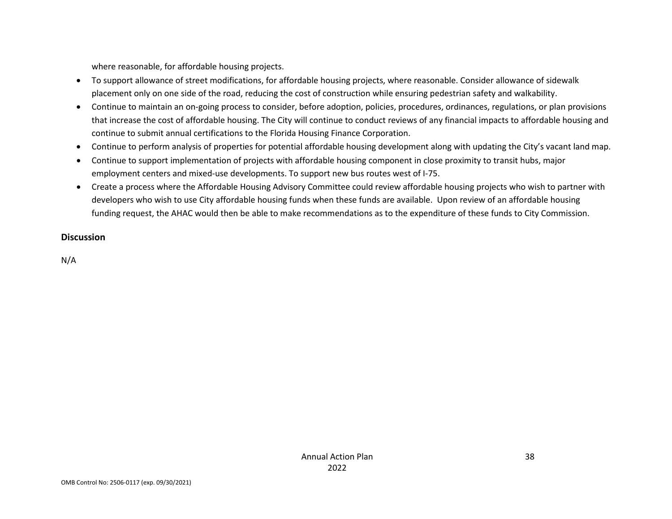where reasonable, for affordable housing projects.

- To support allowance of street modifications, for affordable housing projects, where reasonable. Consider allowance of sidewalk placement only on one side of the road, reducing the cost of construction while ensuring pedestrian safety and walkability.
- Continue to maintain an on-going process to consider, before adoption, policies, procedures, ordinances, regulations, or plan provisions that increase the cost of affordable housing. The City will continue to conduct reviews of any financial impacts to affordable housing and continue to submit annual certifications to the Florida Housing Finance Corporation.
- Continue to perform analysis of properties for potential affordable housing development along with updating the City's vacant land map.
- Continue to support implementation of projects with affordable housing component in close proximity to transit hubs, major employment centers and mixed-use developments. To support new bus routes west of I-75.
- Create a process where the Affordable Housing Advisory Committee could review affordable housing projects who wish to partner with developers who wish to use City affordable housing funds when these funds are available. Upon review of an affordable housing funding request, the AHAC would then be able to make recommendations as to the expenditure of these funds to City Commission.

### **Discussion**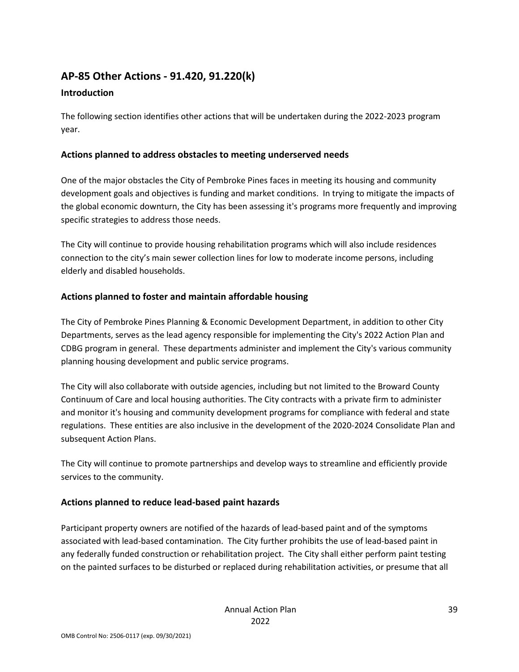# **AP-85 Other Actions - 91.420, 91.220(k)**

### **Introduction**

The following section identifies other actions that will be undertaken during the 2022-2023 program year.

### **Actions planned to address obstacles to meeting underserved needs**

One of the major obstacles the City of Pembroke Pines faces in meeting its housing and community development goals and objectives is funding and market conditions. In trying to mitigate the impacts of the global economic downturn, the City has been assessing it's programs more frequently and improving specific strategies to address those needs.

The City will continue to provide housing rehabilitation programs which will also include residences connection to the city's main sewer collection lines for low to moderate income persons, including elderly and disabled households.

## **Actions planned to foster and maintain affordable housing**

The City of Pembroke Pines Planning & Economic Development Department, in addition to other City Departments, serves as the lead agency responsible for implementing the City's 2022 Action Plan and CDBG program in general. These departments administer and implement the City's various community planning housing development and public service programs.

The City will also collaborate with outside agencies, including but not limited to the Broward County Continuum of Care and local housing authorities. The City contracts with a private firm to administer and monitor it's housing and community development programs for compliance with federal and state regulations. These entities are also inclusive in the development of the 2020-2024 Consolidate Plan and subsequent Action Plans.

The City will continue to promote partnerships and develop ways to streamline and efficiently provide services to the community.

## **Actions planned to reduce lead-based paint hazards**

Participant property owners are notified of the hazards of lead-based paint and of the symptoms associated with lead-based contamination. The City further prohibits the use of lead-based paint in any federally funded construction or rehabilitation project. The City shall either perform paint testing on the painted surfaces to be disturbed or replaced during rehabilitation activities, or presume that all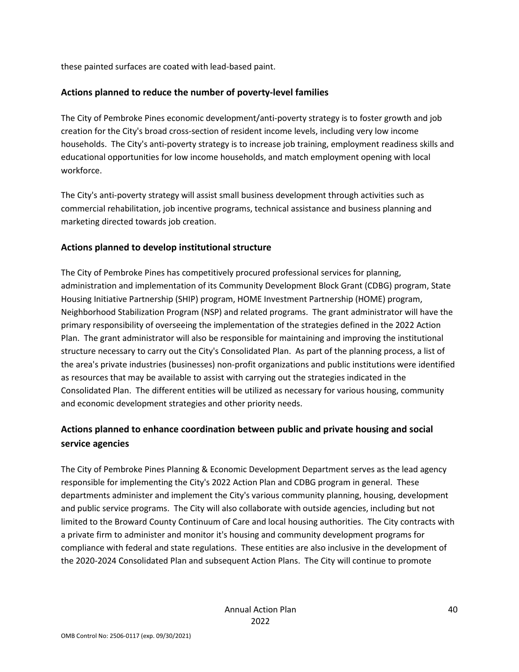these painted surfaces are coated with lead-based paint.

### **Actions planned to reduce the number of poverty-level families**

The City of Pembroke Pines economic development/anti-poverty strategy is to foster growth and job creation for the City's broad cross-section of resident income levels, including very low income households. The City's anti-poverty strategy is to increase job training, employment readiness skills and educational opportunities for low income households, and match employment opening with local workforce.

The City's anti-poverty strategy will assist small business development through activities such as commercial rehabilitation, job incentive programs, technical assistance and business planning and marketing directed towards job creation.

### **Actions planned to develop institutional structure**

The City of Pembroke Pines has competitively procured professional services for planning, administration and implementation of its Community Development Block Grant (CDBG) program, State Housing Initiative Partnership (SHIP) program, HOME Investment Partnership (HOME) program, Neighborhood Stabilization Program (NSP) and related programs. The grant administrator will have the primary responsibility of overseeing the implementation of the strategies defined in the 2022 Action Plan. The grant administrator will also be responsible for maintaining and improving the institutional structure necessary to carry out the City's Consolidated Plan. As part of the planning process, a list of the area's private industries (businesses) non-profit organizations and public institutions were identified as resources that may be available to assist with carrying out the strategies indicated in the Consolidated Plan. The different entities will be utilized as necessary for various housing, community and economic development strategies and other priority needs.

# **Actions planned to enhance coordination between public and private housing and social service agencies**

The City of Pembroke Pines Planning & Economic Development Department serves as the lead agency responsible for implementing the City's 2022 Action Plan and CDBG program in general. These departments administer and implement the City's various community planning, housing, development and public service programs. The City will also collaborate with outside agencies, including but not limited to the Broward County Continuum of Care and local housing authorities. The City contracts with a private firm to administer and monitor it's housing and community development programs for compliance with federal and state regulations. These entities are also inclusive in the development of the 2020-2024 Consolidated Plan and subsequent Action Plans. The City will continue to promote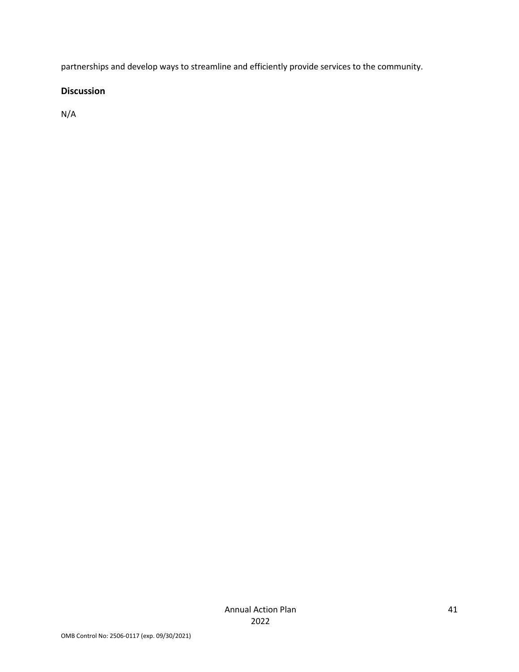partnerships and develop ways to streamline and efficiently provide services to the community.

### **Discussion**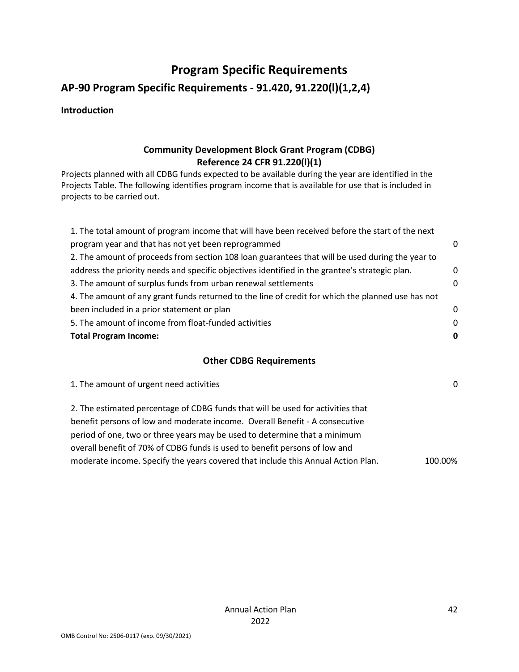# **Program Specific Requirements**

# **AP-90 Program Specific Requirements - 91.420, 91.220(l)(1,2,4)**

### **Introduction**

### **Community Development Block Grant Program (CDBG) Reference 24 CFR 91.220(l)(1)**

Projects planned with all CDBG funds expected to be available during the year are identified in the Projects Table. The following identifies program income that is available for use that is included in projects to be carried out.

| <b>Total Program Income:</b>                                                                      | 0           |
|---------------------------------------------------------------------------------------------------|-------------|
| 5. The amount of income from float-funded activities                                              | $\Omega$    |
| been included in a prior statement or plan                                                        | $\Omega$    |
| 4. The amount of any grant funds returned to the line of credit for which the planned use has not |             |
| 3. The amount of surplus funds from urban renewal settlements                                     | 0           |
| address the priority needs and specific objectives identified in the grantee's strategic plan.    | $\mathbf 0$ |
| 2. The amount of proceeds from section 108 loan guarantees that will be used during the year to   |             |
| program year and that has not yet been reprogrammed                                               | 0           |
| 1. The total amount of program income that will have been received before the start of the next   |             |

### **Other CDBG Requirements**

| 1. The amount of urgent need activities                                          | $\Omega$ |
|----------------------------------------------------------------------------------|----------|
| 2. The estimated percentage of CDBG funds that will be used for activities that  |          |
| benefit persons of low and moderate income. Overall Benefit - A consecutive      |          |
| period of one, two or three years may be used to determine that a minimum        |          |
| overall benefit of 70% of CDBG funds is used to benefit persons of low and       |          |
| moderate income. Specify the years covered that include this Annual Action Plan. | 100.00%  |
|                                                                                  |          |